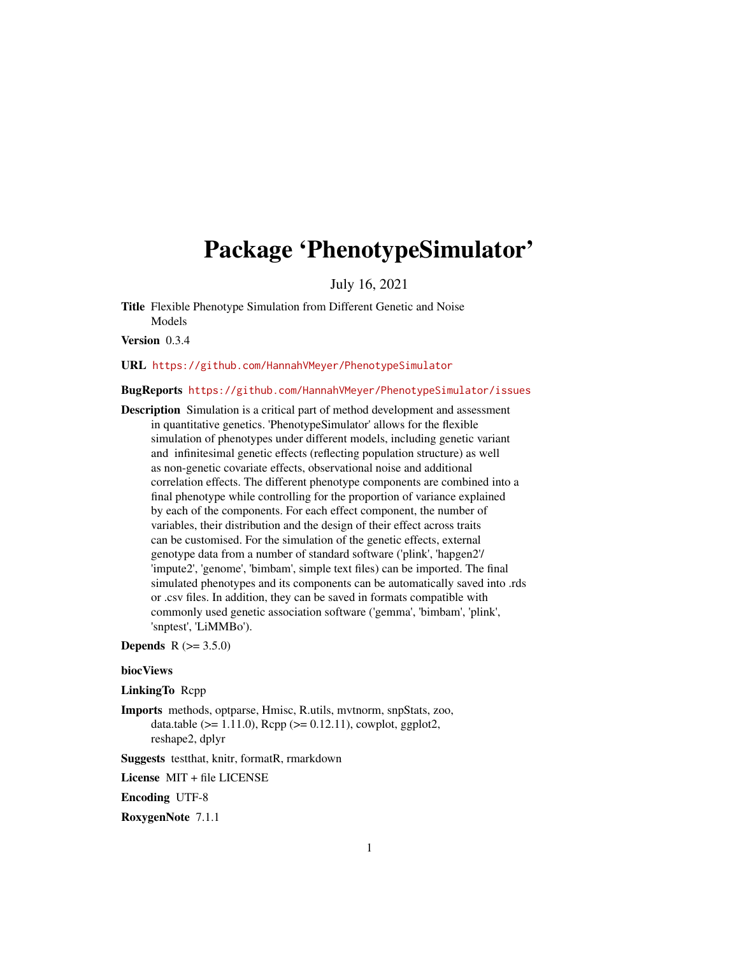# <span id="page-0-0"></span>Package 'PhenotypeSimulator'

July 16, 2021

Title Flexible Phenotype Simulation from Different Genetic and Noise Models

Version 0.3.4

URL <https://github.com/HannahVMeyer/PhenotypeSimulator>

# BugReports <https://github.com/HannahVMeyer/PhenotypeSimulator/issues>

Description Simulation is a critical part of method development and assessment in quantitative genetics. 'PhenotypeSimulator' allows for the flexible simulation of phenotypes under different models, including genetic variant and infinitesimal genetic effects (reflecting population structure) as well as non-genetic covariate effects, observational noise and additional correlation effects. The different phenotype components are combined into a final phenotype while controlling for the proportion of variance explained by each of the components. For each effect component, the number of variables, their distribution and the design of their effect across traits can be customised. For the simulation of the genetic effects, external genotype data from a number of standard software ('plink', 'hapgen2'/ 'impute2', 'genome', 'bimbam', simple text files) can be imported. The final simulated phenotypes and its components can be automatically saved into .rds or .csv files. In addition, they can be saved in formats compatible with commonly used genetic association software ('gemma', 'bimbam', 'plink', 'snptest', 'LiMMBo').

**Depends**  $R (= 3.5.0)$ 

#### biocViews

LinkingTo Rcpp

Imports methods, optparse, Hmisc, R.utils, mvtnorm, snpStats, zoo, data.table ( $>= 1.11.0$ ), Rcpp ( $>= 0.12.11$ ), cowplot, ggplot2, reshape2, dplyr

Suggests testthat, knitr, formatR, rmarkdown

License MIT + file LICENSE

Encoding UTF-8

RoxygenNote 7.1.1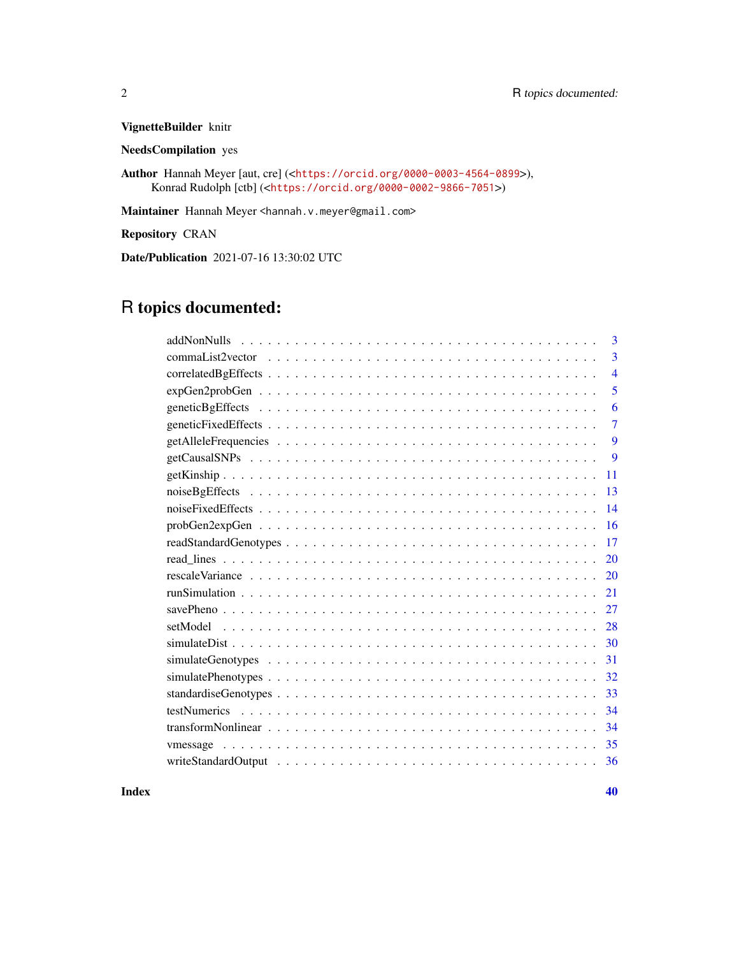VignetteBuilder knitr

NeedsCompilation yes

Author Hannah Meyer [aut, cre] (<<https://orcid.org/0000-0003-4564-0899>>), Konrad Rudolph [ctb] (<<https://orcid.org/0000-0002-9866-7051>>)

Maintainer Hannah Meyer <hannah.v.meyer@gmail.com>

Repository CRAN

Date/Publication 2021-07-16 13:30:02 UTC

# R topics documented:

| 3              |
|----------------|
| 3              |
| $\overline{4}$ |
| 5              |
| 6              |
| $\overline{7}$ |
| 9              |
| 9              |
| 11             |
| 13             |
| 14             |
| 16             |
| 17             |
| 20             |
| 20             |
| 21             |
| 27             |
| 28             |
| 30             |
| 31             |
| 32             |
| 33             |
| 34             |
| 34             |
| 35             |
| 36             |

 $\blacksquare$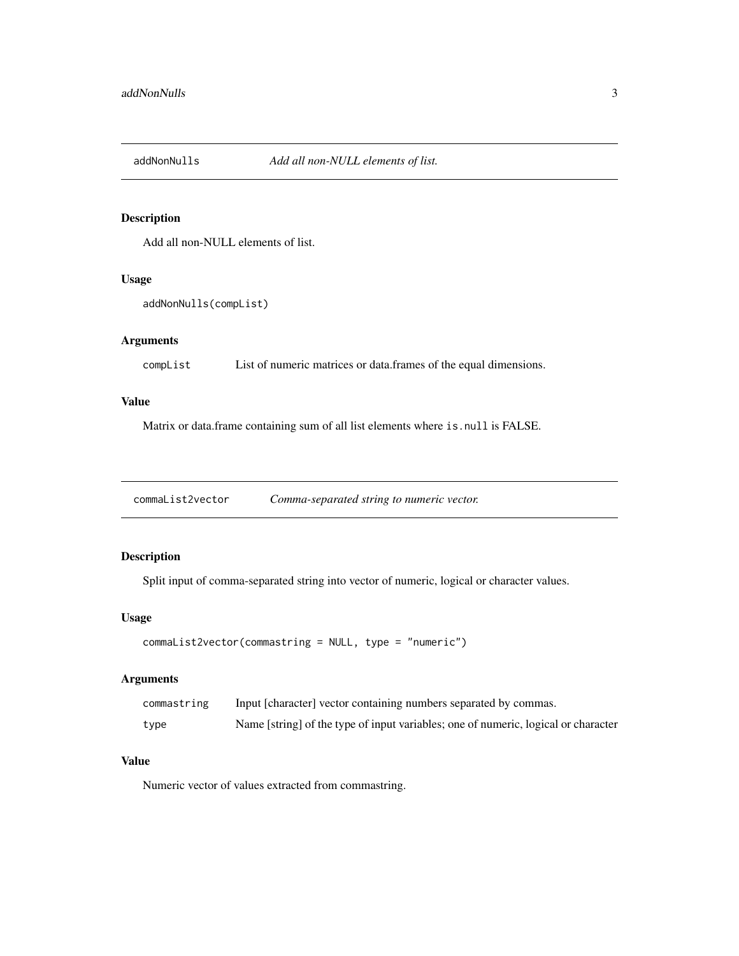<span id="page-2-0"></span>

# Description

Add all non-NULL elements of list.

# Usage

```
addNonNulls(compList)
```
# Arguments

compList List of numeric matrices or data.frames of the equal dimensions.

# Value

Matrix or data.frame containing sum of all list elements where is.null is FALSE.

commaList2vector *Comma-separated string to numeric vector.*

# Description

Split input of comma-separated string into vector of numeric, logical or character values.

# Usage

```
commaList2vector(commastring = NULL, type = "numeric")
```
# Arguments

| commastring | Input [character] vector containing numbers separated by commas.                   |
|-------------|------------------------------------------------------------------------------------|
| type        | Name [string] of the type of input variables; one of numeric, logical or character |

#### Value

Numeric vector of values extracted from commastring.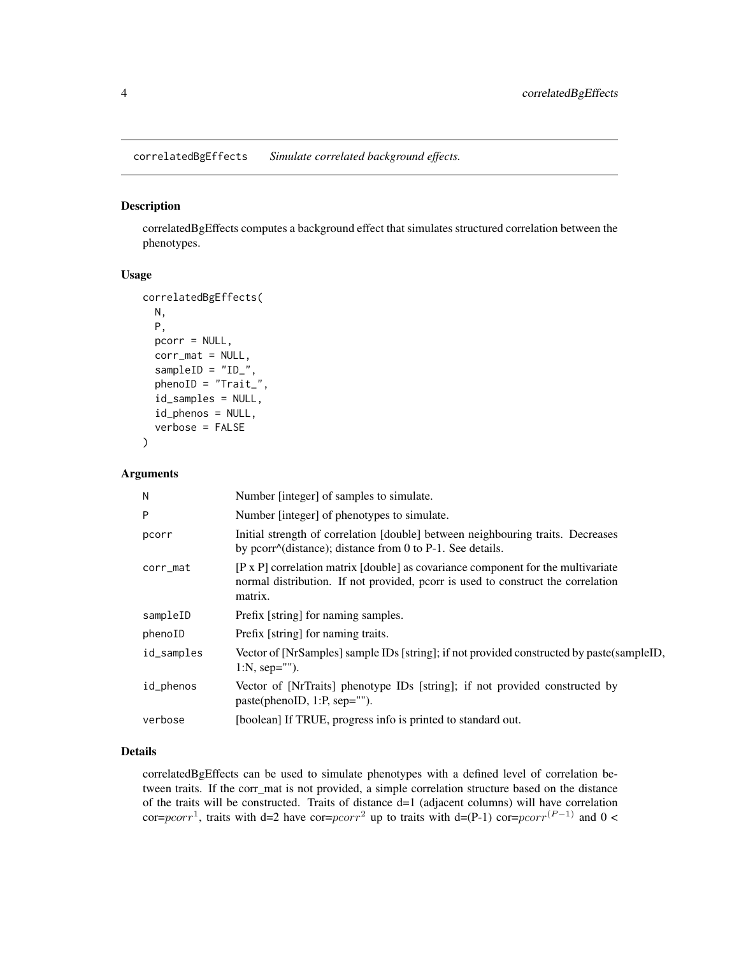<span id="page-3-1"></span><span id="page-3-0"></span>correlatedBgEffects *Simulate correlated background effects.*

# Description

correlatedBgEffects computes a background effect that simulates structured correlation between the phenotypes.

#### Usage

```
correlatedBgEffects(
 N,
 P,
 pcorr = NULL,
  corr\_mat = NULL,sampleID = "ID_",
 phenoID = "Trait_",
  id_samples = NULL,
  id_phenos = NULL,
  verbose = FALSE
)
```
#### Arguments

| Number [integer] of samples to simulate.                                                                                                                                               |
|----------------------------------------------------------------------------------------------------------------------------------------------------------------------------------------|
| Number [integer] of phenotypes to simulate.                                                                                                                                            |
| Initial strength of correlation [double] between neighbouring traits. Decreases<br>by pcorr $\land$ (distance); distance from 0 to P-1. See details.                                   |
| $[P \times P]$ correlation matrix [double] as covariance component for the multivariate<br>normal distribution. If not provided, pcorr is used to construct the correlation<br>matrix. |
| Prefix [string] for naming samples.                                                                                                                                                    |
| Prefix [string] for naming traits.                                                                                                                                                     |
| Vector of [NrSamples] sample IDs [string]; if not provided constructed by paste(sampleID,<br>$1:N$ , sep="").                                                                          |
| Vector of [NrTraits] phenotype IDs [string]; if not provided constructed by<br>paste(phenoID, 1:P, sep="").                                                                            |
| [boolean] If TRUE, progress info is printed to standard out.                                                                                                                           |
|                                                                                                                                                                                        |

# Details

correlatedBgEffects can be used to simulate phenotypes with a defined level of correlation between traits. If the corr\_mat is not provided, a simple correlation structure based on the distance of the traits will be constructed. Traits of distance  $d=1$  (adjacent columns) will have correlation cor=pcorr<sup>1</sup>, traits with d=2 have cor=pcorr<sup>2</sup> up to traits with d=(P-1) cor=pcorr<sup>(P-1)</sup> and 0 <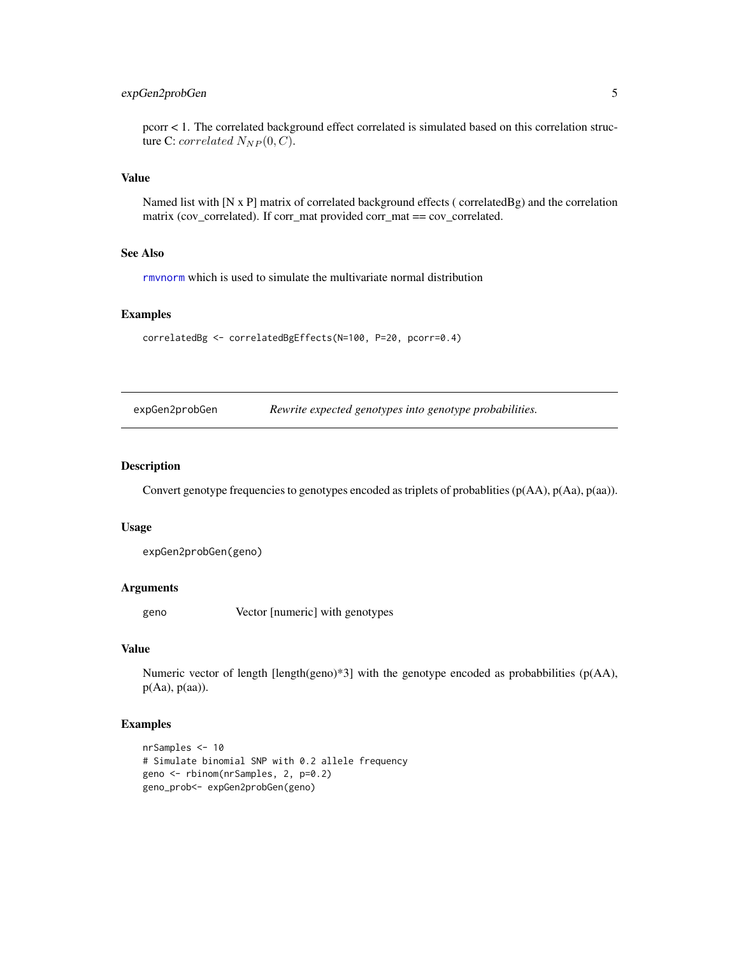# <span id="page-4-0"></span>expGen2probGen 5

pcorr < 1. The correlated background effect correlated is simulated based on this correlation structure C: correlated  $N_{NP}(0, C)$ .

# Value

Named list with [N x P] matrix of correlated background effects ( correlatedBg) and the correlation matrix (cov\_correlated). If corr\_mat provided corr\_mat == cov\_correlated.

# See Also

[rmvnorm](#page-0-0) which is used to simulate the multivariate normal distribution

# Examples

correlatedBg <- correlatedBgEffects(N=100, P=20, pcorr=0.4)

expGen2probGen *Rewrite expected genotypes into genotype probabilities.*

# Description

Convert genotype frequencies to genotypes encoded as triplets of probablities (p(AA), p(Aa), p(aa)).

#### Usage

expGen2probGen(geno)

# Arguments

geno Vector [numeric] with genotypes

# Value

Numeric vector of length [length(geno)\*3] with the genotype encoded as probabbilities ( $p(A)$ ),  $p(Aa)$ ,  $p(aa)$ ).

# Examples

```
nrSamples <- 10
# Simulate binomial SNP with 0.2 allele frequency
geno <- rbinom(nrSamples, 2, p=0.2)
geno_prob<- expGen2probGen(geno)
```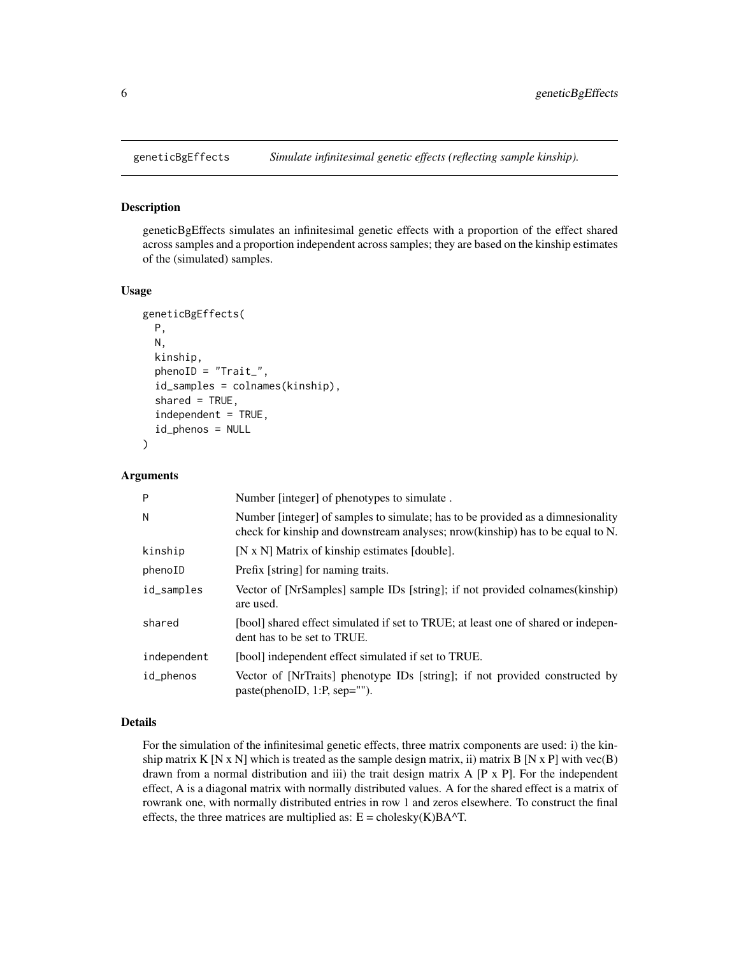<span id="page-5-1"></span><span id="page-5-0"></span>

#### Description

geneticBgEffects simulates an infinitesimal genetic effects with a proportion of the effect shared across samples and a proportion independent across samples; they are based on the kinship estimates of the (simulated) samples.

# Usage

```
geneticBgEffects(
 P,
 N,
  kinship,
  phenoID = "Trait_",
  id_samples = colnames(kinship),
  shared = TRUE,
  independent = TRUE,id_phenos = NULL
)
```
# Arguments

| P           | Number [integer] of phenotypes to simulate.                                                                                                                       |
|-------------|-------------------------------------------------------------------------------------------------------------------------------------------------------------------|
| N           | Number [integer] of samples to simulate; has to be provided as a dimnesionality<br>check for kinship and downstream analyses; nrow(kinship) has to be equal to N. |
| kinship     | [N x N] Matrix of kinship estimates [double].                                                                                                                     |
| phenoID     | Prefix [string] for naming traits.                                                                                                                                |
| id_samples  | Vector of [NrSamples] sample IDs [string]; if not provided colnames(kinship)<br>are used.                                                                         |
| shared      | [bool] shared effect simulated if set to TRUE; at least one of shared or indepen-<br>dent has to be set to TRUE.                                                  |
| independent | [bool] independent effect simulated if set to TRUE.                                                                                                               |
| id_phenos   | Vector of [NrTraits] phenotype IDs [string]; if not provided constructed by<br>paste(phenoID, 1:P, sep="").                                                       |

#### Details

For the simulation of the infinitesimal genetic effects, three matrix components are used: i) the kinship matrix K [N x N] which is treated as the sample design matrix, ii) matrix B [N x P] with vec(B) drawn from a normal distribution and iii) the trait design matrix A [P x P]. For the independent effect, A is a diagonal matrix with normally distributed values. A for the shared effect is a matrix of rowrank one, with normally distributed entries in row 1 and zeros elsewhere. To construct the final effects, the three matrices are multiplied as:  $E =$  cholesky(K)BA^T.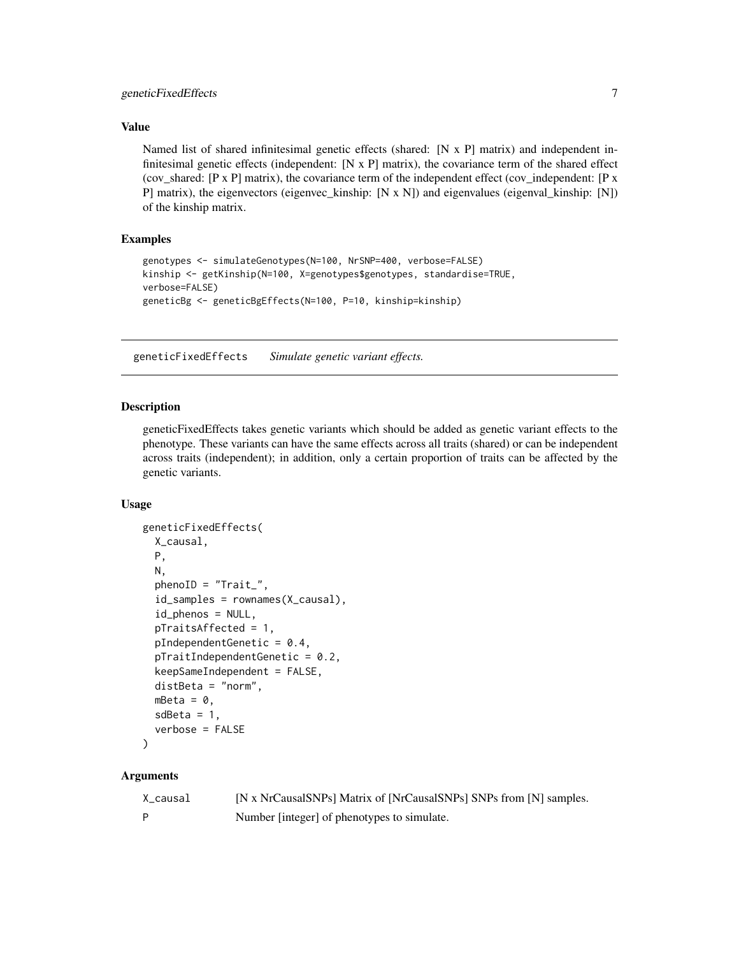# <span id="page-6-0"></span>Value

Named list of shared infinitesimal genetic effects (shared: [N x P] matrix) and independent infinitesimal genetic effects (independent:  $[N \times P]$  matrix), the covariance term of the shared effect (cov\_shared: [P x P] matrix), the covariance term of the independent effect (cov\_independent: [P x P] matrix), the eigenvectors (eigenvec\_kinship: [N x N]) and eigenvalues (eigenval\_kinship: [N]) of the kinship matrix.

# Examples

```
genotypes <- simulateGenotypes(N=100, NrSNP=400, verbose=FALSE)
kinship <- getKinship(N=100, X=genotypes$genotypes, standardise=TRUE,
verbose=FALSE)
geneticBg <- geneticBgEffects(N=100, P=10, kinship=kinship)
```
<span id="page-6-1"></span>geneticFixedEffects *Simulate genetic variant effects.*

#### Description

geneticFixedEffects takes genetic variants which should be added as genetic variant effects to the phenotype. These variants can have the same effects across all traits (shared) or can be independent across traits (independent); in addition, only a certain proportion of traits can be affected by the genetic variants.

# Usage

```
geneticFixedEffects(
  X_causal,
 P,
 N,
  phenoID = "Trait_",id_samples = rownames(X_causal),
  id_phenos = NULL,
  pTraitsAffected = 1,
 pIndependentGenetic = 0.4,
  pTraitIndependentGenetic = 0.2,
  keepSameIndependent = FALSE,
  distBeta = "norm",
 mBeta = 0,
  sdBeta = 1,
  verbose = FALSE
```

```
)
```

| X_causal | [N x NrCausalSNPs] Matrix of [NrCausalSNPs] SNPs from [N] samples. |
|----------|--------------------------------------------------------------------|
| D        | Number [integer] of phenotypes to simulate.                        |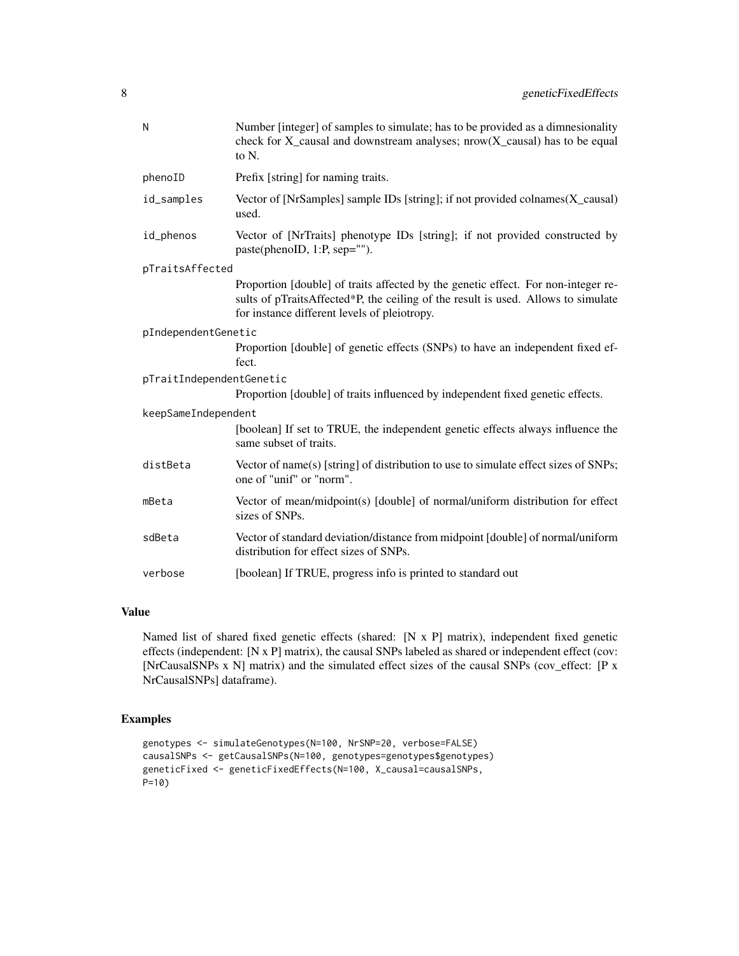| N                        | Number [integer] of samples to simulate; has to be provided as a dimnesionality<br>check for $X$ _causal and downstream analyses; nrow( $X$ _causal) has to be equal<br>to N.                                          |
|--------------------------|------------------------------------------------------------------------------------------------------------------------------------------------------------------------------------------------------------------------|
| phenoID                  | Prefix [string] for naming traits.                                                                                                                                                                                     |
| id_samples               | Vector of [NrSamples] sample IDs [string]; if not provided colnames $(X$ ] causal)<br>used.                                                                                                                            |
| id_phenos                | Vector of [NrTraits] phenotype IDs [string]; if not provided constructed by<br>paste(phenoID, 1:P, sep="").                                                                                                            |
| pTraitsAffected          |                                                                                                                                                                                                                        |
|                          | Proportion [double] of traits affected by the genetic effect. For non-integer re-<br>sults of pTraitsAffected*P, the ceiling of the result is used. Allows to simulate<br>for instance different levels of pleiotropy. |
| pIndependentGenetic      |                                                                                                                                                                                                                        |
|                          | Proportion [double] of genetic effects (SNPs) to have an independent fixed ef-<br>fect.                                                                                                                                |
| pTraitIndependentGenetic |                                                                                                                                                                                                                        |
|                          | Proportion [double] of traits influenced by independent fixed genetic effects.                                                                                                                                         |
| keepSameIndependent      |                                                                                                                                                                                                                        |
|                          | [boolean] If set to TRUE, the independent genetic effects always influence the<br>same subset of traits.                                                                                                               |
| distBeta                 | Vector of name(s) [string] of distribution to use to simulate effect sizes of SNPs;<br>one of "unif" or "norm".                                                                                                        |
| mBeta                    | Vector of mean/midpoint(s) [double] of normal/uniform distribution for effect<br>sizes of SNPs.                                                                                                                        |
| sdBeta                   | Vector of standard deviation/distance from midpoint [double] of normal/uniform<br>distribution for effect sizes of SNPs.                                                                                               |
| verbose                  | [boolean] If TRUE, progress info is printed to standard out                                                                                                                                                            |

# Value

Named list of shared fixed genetic effects (shared: [N x P] matrix), independent fixed genetic effects (independent: [N x P] matrix), the causal SNPs labeled as shared or independent effect (cov: [NrCausalSNPs x N] matrix) and the simulated effect sizes of the causal SNPs (cov\_effect: [P x NrCausalSNPs] dataframe).

# Examples

```
genotypes <- simulateGenotypes(N=100, NrSNP=20, verbose=FALSE)
causalSNPs <- getCausalSNPs(N=100, genotypes=genotypes$genotypes)
geneticFixed <- geneticFixedEffects(N=100, X_causal=causalSNPs,
P=10)
```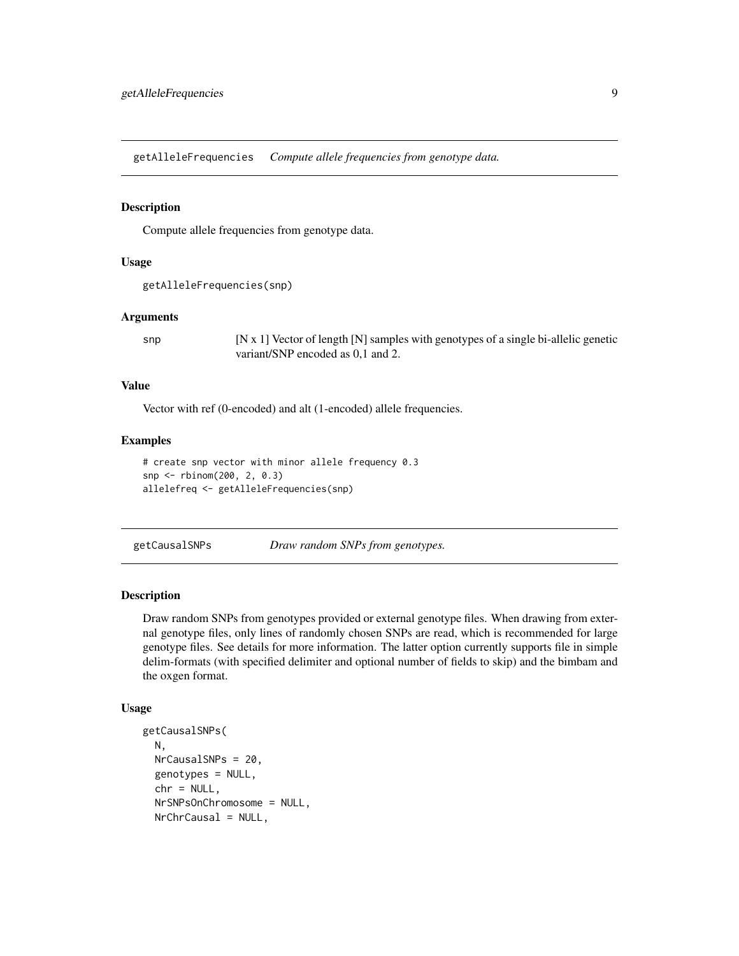<span id="page-8-2"></span><span id="page-8-0"></span>getAlleleFrequencies *Compute allele frequencies from genotype data.*

#### Description

Compute allele frequencies from genotype data.

# Usage

```
getAlleleFrequencies(snp)
```
# Arguments

snp  $[N x 1]$  Vector of length  $[N]$  samples with genotypes of a single bi-allelic genetic variant/SNP encoded as 0,1 and 2.

# Value

Vector with ref (0-encoded) and alt (1-encoded) allele frequencies.

# Examples

```
# create snp vector with minor allele frequency 0.3
snp <- rbinom(200, 2, 0.3)
allelefreq <- getAlleleFrequencies(snp)
```
<span id="page-8-1"></span>getCausalSNPs *Draw random SNPs from genotypes.*

#### Description

Draw random SNPs from genotypes provided or external genotype files. When drawing from external genotype files, only lines of randomly chosen SNPs are read, which is recommended for large genotype files. See details for more information. The latter option currently supports file in simple delim-formats (with specified delimiter and optional number of fields to skip) and the bimbam and the oxgen format.

#### Usage

```
getCausalSNPs(
 N,
 NrCausalSNPs = 20,
  genotypes = NULL,
  chr = NULL,NrSNPsOnChromosome = NULL,
 NrChrCausal = NULL,
```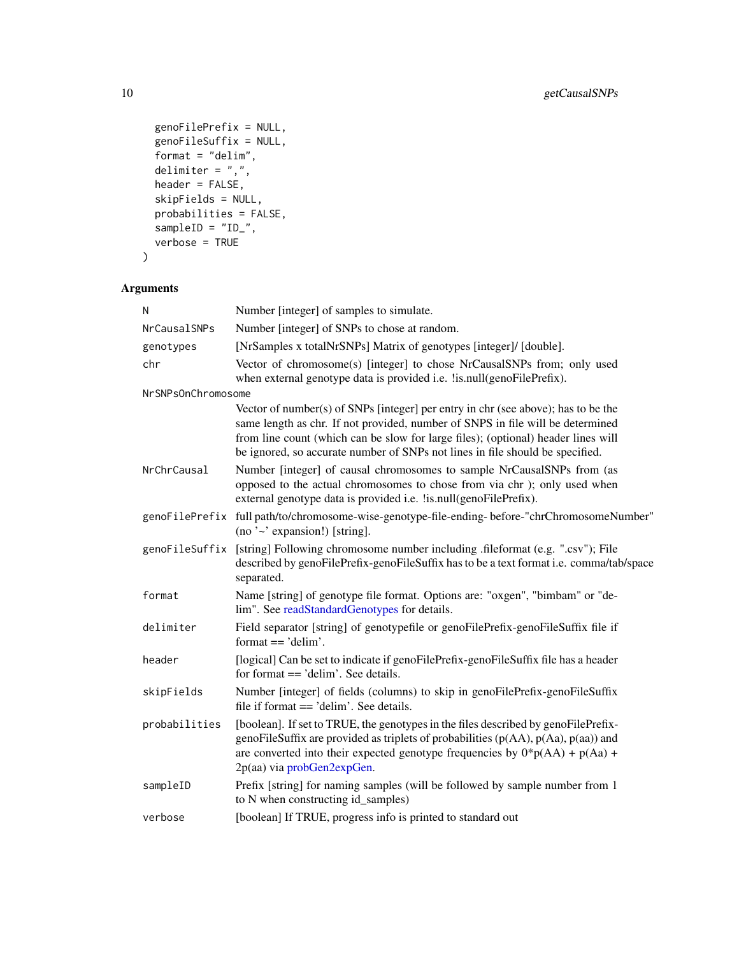```
genoFilePrefix = NULL,
 genoFileSuffix = NULL,
 \sum format = "delim",
  delimiter = ",",
  header = FALSE,
  skipFields = NULL,
 probabilities = FALSE,
 sampleID = "ID_",
 verbose = TRUE
\mathcal{L}
```

| N                  | Number [integer] of samples to simulate.                                                                                                                                                                                                                                                                                                  |
|--------------------|-------------------------------------------------------------------------------------------------------------------------------------------------------------------------------------------------------------------------------------------------------------------------------------------------------------------------------------------|
| NrCausalSNPs       | Number [integer] of SNPs to chose at random.                                                                                                                                                                                                                                                                                              |
| genotypes          | [NrSamples x totalNrSNPs] Matrix of genotypes [integer]/ [double].                                                                                                                                                                                                                                                                        |
| chr                | Vector of chromosome(s) [integer] to chose NrCausalSNPs from; only used<br>when external genotype data is provided i.e. lis.null(genoFilePrefix).                                                                                                                                                                                         |
| NrSNPsOnChromosome |                                                                                                                                                                                                                                                                                                                                           |
|                    | Vector of number(s) of SNPs [integer] per entry in chr (see above); has to be the<br>same length as chr. If not provided, number of SNPS in file will be determined<br>from line count (which can be slow for large files); (optional) header lines will<br>be ignored, so accurate number of SNPs not lines in file should be specified. |
| NrChrCausal        | Number [integer] of causal chromosomes to sample NrCausalSNPs from (as<br>opposed to the actual chromosomes to chose from via chr ); only used when<br>external genotype data is provided i.e. lis.null(genoFilePrefix).                                                                                                                  |
|                    | genoFilePrefix full path/to/chromosome-wise-genotype-file-ending-before-"chrChromosomeNumber"<br>(no ' $\sim$ ' expansion!) [string].                                                                                                                                                                                                     |
| genoFileSuffix     | [string] Following chromosome number including .fileformat (e.g. ".csv"); File<br>described by genoFilePrefix-genoFileSuffix has to be a text format i.e. comma/tab/space<br>separated.                                                                                                                                                   |
| format             | Name [string] of genotype file format. Options are: "oxgen", "bimbam" or "de-<br>lim". See readStandardGenotypes for details.                                                                                                                                                                                                             |
| delimiter          | Field separator [string] of genotypefile or genoFilePrefix-genoFileSuffix file if<br>format $==$ 'delim'.                                                                                                                                                                                                                                 |
| header             | [logical] Can be set to indicate if genoFilePrefix-genoFileSuffix file has a header<br>for format $==$ 'delim'. See details.                                                                                                                                                                                                              |
| skipFields         | Number [integer] of fields (columns) to skip in genoFilePrefix-genoFileSuffix<br>file if format $==$ 'delim'. See details.                                                                                                                                                                                                                |
| probabilities      | [boolean]. If set to TRUE, the genotypes in the files described by genoFilePrefix-<br>genoFileSuffix are provided as triplets of probabilities $(p(AA), p(Aa), p(aa))$ and<br>are converted into their expected genotype frequencies by $0^*p(AA) + p(Aa) +$<br>2p(aa) via probGen2expGen.                                                |
| sampleID           | Prefix [string] for naming samples (will be followed by sample number from 1<br>to N when constructing id_samples)                                                                                                                                                                                                                        |
| verbose            | [boolean] If TRUE, progress info is printed to standard out                                                                                                                                                                                                                                                                               |

<span id="page-9-0"></span>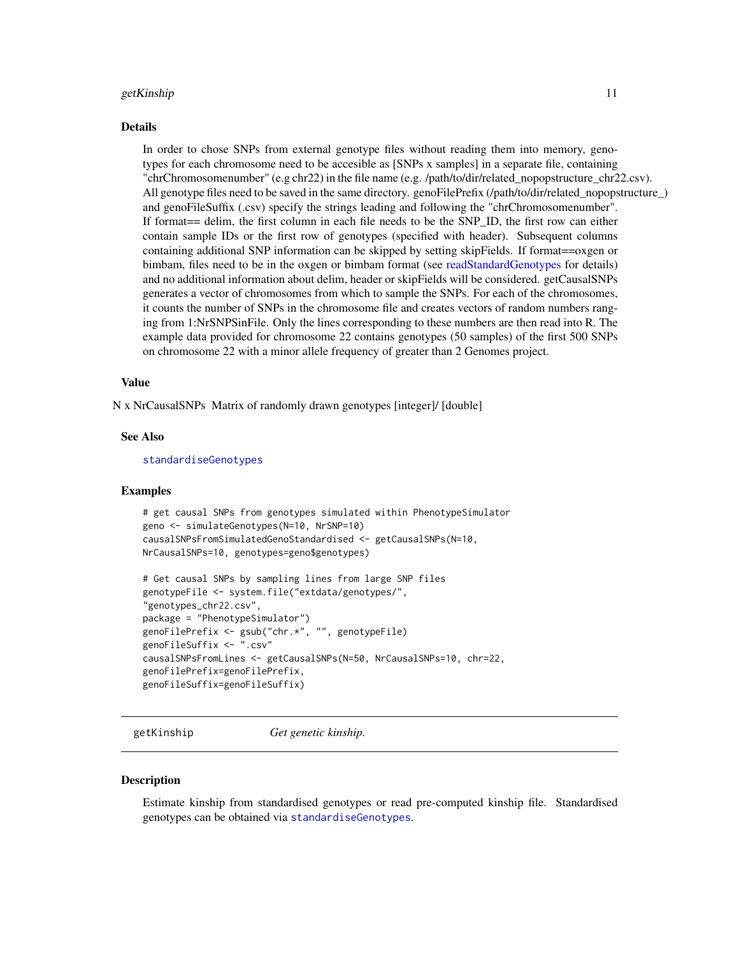#### <span id="page-10-0"></span>getKinship 11

#### Details

In order to chose SNPs from external genotype files without reading them into memory, genotypes for each chromosome need to be accesible as [SNPs x samples] in a separate file, containing "chrChromosomenumber" (e.g chr22) in the file name (e.g. /path/to/dir/related\_nopopstructure\_chr22.csv). All genotype files need to be saved in the same directory. genoFilePrefix (/path/to/dir/related\_nopopstructure\_) and genoFileSuffix (.csv) specify the strings leading and following the "chrChromosomenumber". If format== delim, the first column in each file needs to be the SNP\_ID, the first row can either contain sample IDs or the first row of genotypes (specified with header). Subsequent columns containing additional SNP information can be skipped by setting skipFields. If format==oxgen or bimbam, files need to be in the oxgen or bimbam format (see [readStandardGenotypes](#page-16-1) for details) and no additional information about delim, header or skipFields will be considered. getCausalSNPs generates a vector of chromosomes from which to sample the SNPs. For each of the chromosomes, it counts the number of SNPs in the chromosome file and creates vectors of random numbers ranging from 1:NrSNPSinFile. Only the lines corresponding to these numbers are then read into R. The example data provided for chromosome 22 contains genotypes (50 samples) of the first 500 SNPs on chromosome 22 with a minor allele frequency of greater than 2 Genomes project.

# Value

N x NrCausalSNPs Matrix of randomly drawn genotypes [integer]/ [double]

## See Also

[standardiseGenotypes](#page-32-1)

#### Examples

```
# get causal SNPs from genotypes simulated within PhenotypeSimulator
geno <- simulateGenotypes(N=10, NrSNP=10)
causalSNPsFromSimulatedGenoStandardised <- getCausalSNPs(N=10,
NrCausalSNPs=10, genotypes=geno$genotypes)
```

```
# Get causal SNPs by sampling lines from large SNP files
genotypeFile <- system.file("extdata/genotypes/",
"genotypes_chr22.csv",
package = "PhenotypeSimulator")
genoFilePrefix <- gsub("chr.*", "", genotypeFile)
genoFileSuffix <- ".csv"
causalSNPsFromLines <- getCausalSNPs(N=50, NrCausalSNPs=10, chr=22,
genoFilePrefix=genoFilePrefix,
genoFileSuffix=genoFileSuffix)
```
getKinship *Get genetic kinship.*

#### **Description**

Estimate kinship from standardised genotypes or read pre-computed kinship file. Standardised genotypes can be obtained via [standardiseGenotypes](#page-32-1).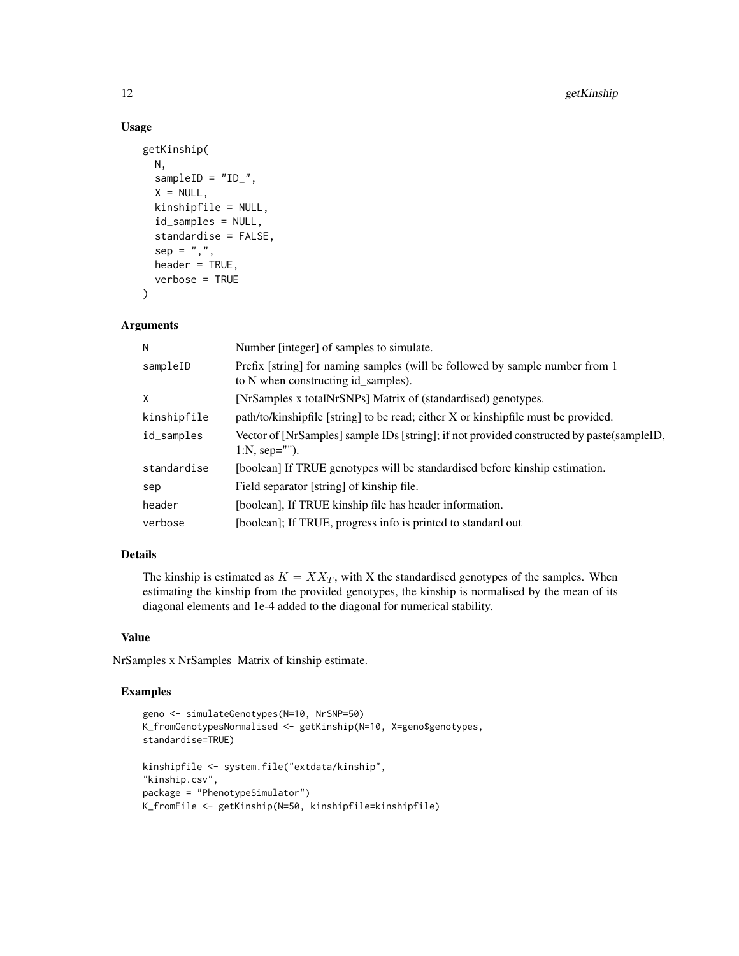# Usage

```
getKinship(
 N,
  sampleID = "ID",
  X = NULL,kinshipfile = NULL,
  id_samples = NULL,
  standardise = FALSE,
  sep = ","header = TRUE,
  verbose = TRUE
)
```
# Arguments

| N           | Number [integer] of samples to simulate.                                                                            |
|-------------|---------------------------------------------------------------------------------------------------------------------|
| sampleID    | Prefix [string] for naming samples (will be followed by sample number from 1<br>to N when constructing id samples). |
| X           | [NrSamples x totalNrSNPs] Matrix of (standardised) genotypes.                                                       |
| kinshipfile | path/to/kinshipfile [string] to be read; either X or kinshipfile must be provided.                                  |
| id_samples  | Vector of [NrSamples] sample IDs [string]; if not provided constructed by paste(sampleID,<br>1:N, sep="").          |
| standardise | [boolean] If TRUE genotypes will be standardised before kinship estimation.                                         |
| sep         | Field separator [string] of kinship file.                                                                           |
| header      | [boolean], If TRUE kinship file has header information.                                                             |
| verbose     | [boolean]; If TRUE, progress info is printed to standard out                                                        |

#### Details

The kinship is estimated as  $K = XX_T$ , with X the standardised genotypes of the samples. When estimating the kinship from the provided genotypes, the kinship is normalised by the mean of its diagonal elements and 1e-4 added to the diagonal for numerical stability.

# Value

NrSamples x NrSamples Matrix of kinship estimate.

## Examples

```
geno <- simulateGenotypes(N=10, NrSNP=50)
K_fromGenotypesNormalised <- getKinship(N=10, X=geno$genotypes,
standardise=TRUE)
kinshipfile <- system.file("extdata/kinship",
"kinship.csv",
package = "PhenotypeSimulator")
K_fromFile <- getKinship(N=50, kinshipfile=kinshipfile)
```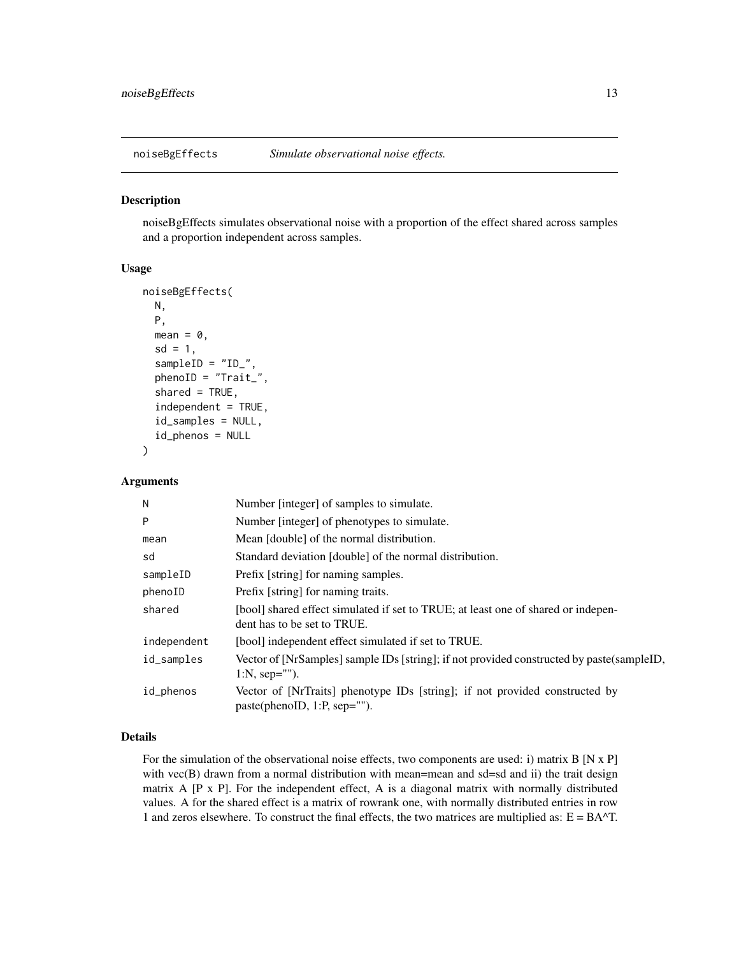<span id="page-12-1"></span><span id="page-12-0"></span>

#### Description

noiseBgEffects simulates observational noise with a proportion of the effect shared across samples and a proportion independent across samples.

#### Usage

```
noiseBgEffects(
 N,
 P,
 mean = 0,
  sd = 1,
  sampleID = "ID",
  phenoID = "Trait_",
  shared = TRUE,
  independent = TRUE,id_samples = NULL,
  id_phenos = NULL
)
```
# Arguments

| N           | Number [integer] of samples to simulate.                                                                         |
|-------------|------------------------------------------------------------------------------------------------------------------|
| P           | Number [integer] of phenotypes to simulate.                                                                      |
| mean        | Mean [double] of the normal distribution.                                                                        |
| sd          | Standard deviation [double] of the normal distribution.                                                          |
| sampleID    | Prefix [string] for naming samples.                                                                              |
| phenoID     | Prefix [string] for naming traits.                                                                               |
| shared      | [bool] shared effect simulated if set to TRUE; at least one of shared or indepen-<br>dent has to be set to TRUE. |
| independent | [bool] independent effect simulated if set to TRUE.                                                              |
| id_samples  | Vector of [NrSamples] sample IDs [string]; if not provided constructed by paste(sampleID,<br>1:N, sep="").       |
| id_phenos   | Vector of [NrTraits] phenotype IDs [string]; if not provided constructed by<br>paste(phenoID, 1:P, sep="").      |

# Details

For the simulation of the observational noise effects, two components are used: i) matrix B [N x P] with vec(B) drawn from a normal distribution with mean=mean and sd=sd and ii) the trait design matrix A [P x P]. For the independent effect, A is a diagonal matrix with normally distributed values. A for the shared effect is a matrix of rowrank one, with normally distributed entries in row 1 and zeros elsewhere. To construct the final effects, the two matrices are multiplied as:  $E = BA^T$ .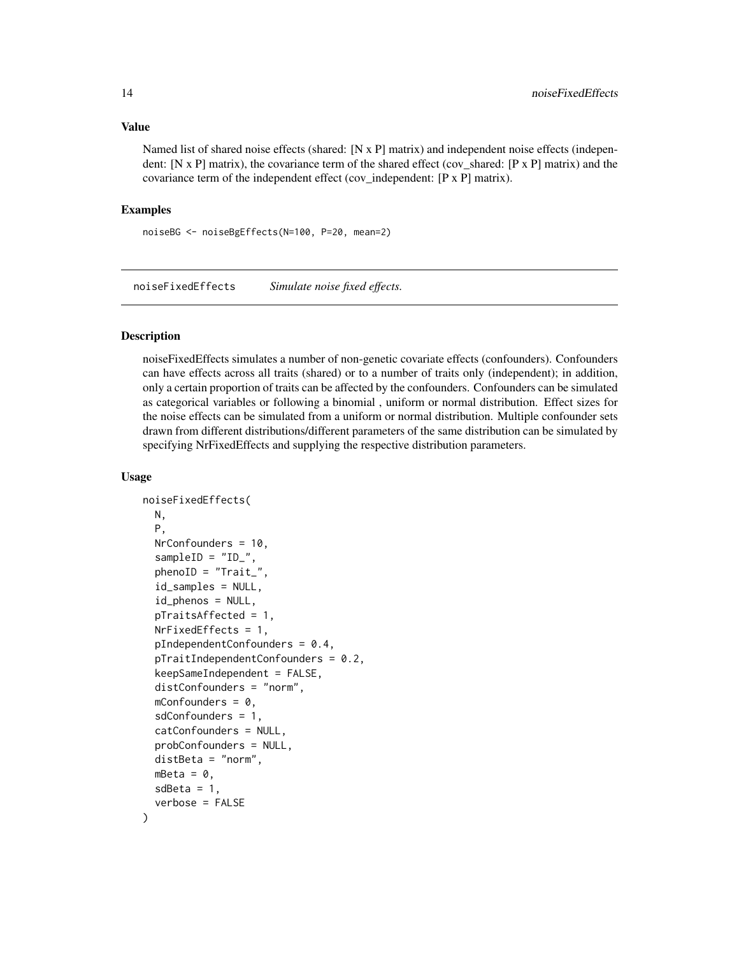#### <span id="page-13-0"></span>Value

Named list of shared noise effects (shared: [N x P] matrix) and independent noise effects (independent:  $[N \times P]$  matrix), the covariance term of the shared effect (cov\_shared:  $[P \times P]$  matrix) and the covariance term of the independent effect (cov\_independent: [P x P] matrix).

#### Examples

noiseBG <- noiseBgEffects(N=100, P=20, mean=2)

<span id="page-13-1"></span>noiseFixedEffects *Simulate noise fixed effects.*

# Description

noiseFixedEffects simulates a number of non-genetic covariate effects (confounders). Confounders can have effects across all traits (shared) or to a number of traits only (independent); in addition, only a certain proportion of traits can be affected by the confounders. Confounders can be simulated as categorical variables or following a binomial , uniform or normal distribution. Effect sizes for the noise effects can be simulated from a uniform or normal distribution. Multiple confounder sets drawn from different distributions/different parameters of the same distribution can be simulated by specifying NrFixedEffects and supplying the respective distribution parameters.

#### Usage

```
noiseFixedEffects(
 N,
 P,
 NrConfounders = 10,
  sampleID = "ID",
  phenoID = "Trait"id_samples = NULL,
  id_phenos = NULL,
  pTraitsAffected = 1,
  NrFixedEffects = 1,
  pIndependentConfounders = 0.4,
  pTraindependentConfounders = 0.2,
  keepSameIndependent = FALSE,
  distConfounders = "norm",
  mConfounders = 0,
  sdConfounders = 1,
  catConfounders = NULL,
  probConfounders = NULL,
  distBeta = "norm",
  mBeta = 0,
  sdBeta = 1,
  verbose = FALSE
)
```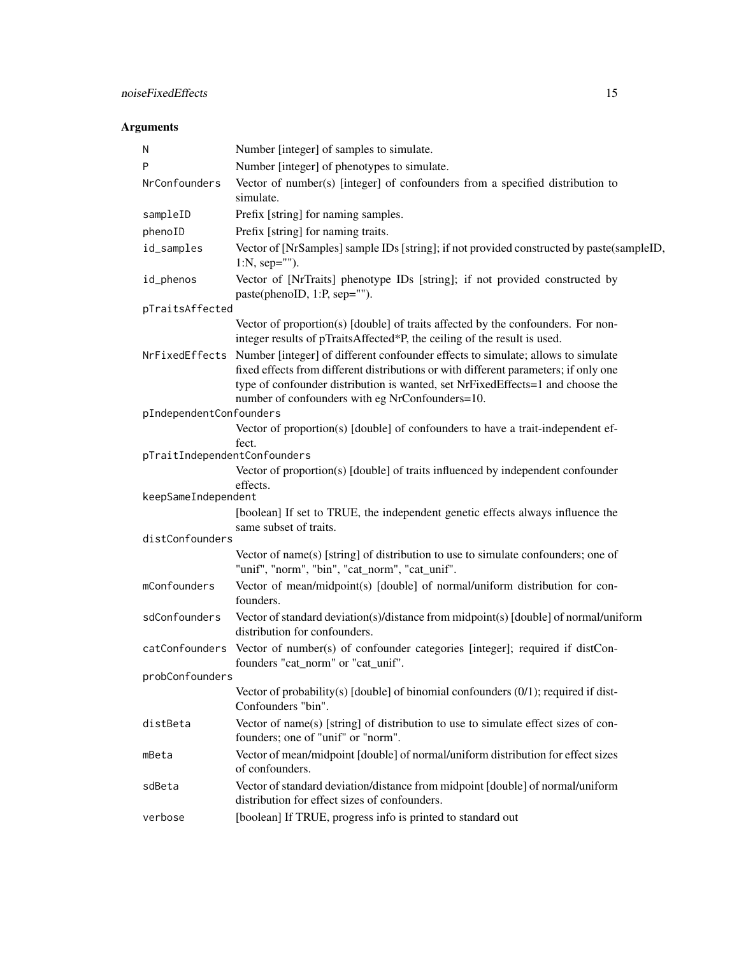| Ν                            | Number [integer] of samples to simulate.                                                                                                                                                                                                                                                                                     |
|------------------------------|------------------------------------------------------------------------------------------------------------------------------------------------------------------------------------------------------------------------------------------------------------------------------------------------------------------------------|
| P                            | Number [integer] of phenotypes to simulate.                                                                                                                                                                                                                                                                                  |
| NrConfounders                | Vector of number(s) [integer] of confounders from a specified distribution to<br>simulate.                                                                                                                                                                                                                                   |
| sampleID                     | Prefix [string] for naming samples.                                                                                                                                                                                                                                                                                          |
| phenoID                      | Prefix [string] for naming traits.                                                                                                                                                                                                                                                                                           |
| id_samples                   | Vector of [NrSamples] sample IDs [string]; if not provided constructed by paste(sampleID,<br>$1:N$ , sep="").                                                                                                                                                                                                                |
| id_phenos                    | Vector of [NrTraits] phenotype IDs [string]; if not provided constructed by<br>paste(phenoID, 1:P, sep="").                                                                                                                                                                                                                  |
| pTraitsAffected              |                                                                                                                                                                                                                                                                                                                              |
|                              | Vector of proportion(s) [double] of traits affected by the confounders. For non-<br>integer results of pTraitsAffected*P, the ceiling of the result is used.                                                                                                                                                                 |
|                              | NrFixedEffects Number [integer] of different confounder effects to simulate; allows to simulate<br>fixed effects from different distributions or with different parameters; if only one<br>type of confounder distribution is wanted, set NrFixedEffects=1 and choose the<br>number of confounders with eg NrConfounders=10. |
| pIndependentConfounders      |                                                                                                                                                                                                                                                                                                                              |
|                              | Vector of proportion(s) [double] of confounders to have a trait-independent ef-                                                                                                                                                                                                                                              |
| pTraitIndependentConfounders | fect.                                                                                                                                                                                                                                                                                                                        |
|                              | Vector of proportion(s) [double] of traits influenced by independent confounder                                                                                                                                                                                                                                              |
|                              | effects.                                                                                                                                                                                                                                                                                                                     |
| keepSameIndependent          |                                                                                                                                                                                                                                                                                                                              |
| distConfounders              | [boolean] If set to TRUE, the independent genetic effects always influence the<br>same subset of traits.                                                                                                                                                                                                                     |
|                              | Vector of name(s) [string] of distribution to use to simulate confounders; one of                                                                                                                                                                                                                                            |
|                              | "unif", "norm", "bin", "cat_norm", "cat_unif".                                                                                                                                                                                                                                                                               |
| mConfounders                 | Vector of mean/midpoint(s) [double] of normal/uniform distribution for con-<br>founders.                                                                                                                                                                                                                                     |
| sdConfounders                | Vector of standard deviation(s)/distance from midpoint(s) [double] of normal/uniform<br>distribution for confounders.                                                                                                                                                                                                        |
|                              | catConfounders Vector of number(s) of confounder categories [integer]; required if distCon-<br>founders "cat_norm" or "cat_unif".                                                                                                                                                                                            |
| probConfounders              |                                                                                                                                                                                                                                                                                                                              |
|                              | Vector of probability(s) [double] of binomial confounders (0/1); required if dist-<br>Confounders "bin".                                                                                                                                                                                                                     |
| distBeta                     | Vector of name(s) [string] of distribution to use to simulate effect sizes of con-<br>founders; one of "unif" or "norm".                                                                                                                                                                                                     |
| mBeta                        | Vector of mean/midpoint [double] of normal/uniform distribution for effect sizes<br>of confounders.                                                                                                                                                                                                                          |
| sdBeta                       | Vector of standard deviation/distance from midpoint [double] of normal/uniform<br>distribution for effect sizes of confounders.                                                                                                                                                                                              |
| verbose                      | [boolean] If TRUE, progress info is printed to standard out                                                                                                                                                                                                                                                                  |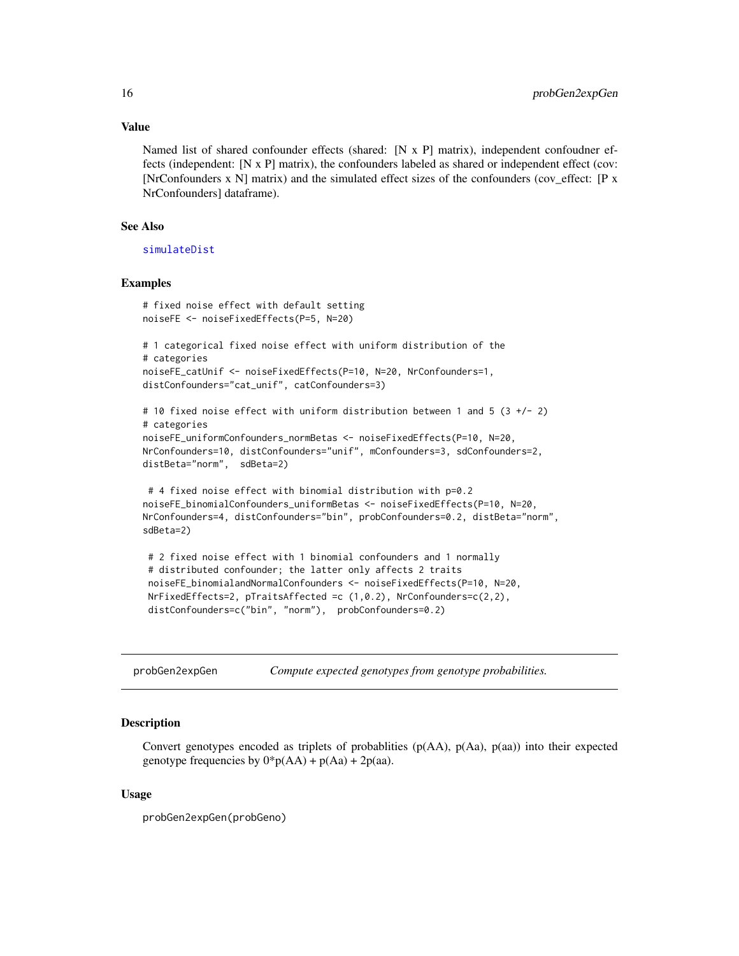#### Value

Named list of shared confounder effects (shared: [N x P] matrix), independent confoudner effects (independent: [N x P] matrix), the confounders labeled as shared or independent effect (cov: [NrConfounders x N] matrix) and the simulated effect sizes of the confounders (cov\_effect: [P x NrConfounders] dataframe).

# See Also

[simulateDist](#page-29-1)

#### Examples

```
# fixed noise effect with default setting
noiseFE <- noiseFixedEffects(P=5, N=20)
# 1 categorical fixed noise effect with uniform distribution of the
# categories
```

```
noiseFE_catUnif <- noiseFixedEffects(P=10, N=20, NrConfounders=1,
distConfounders="cat_unif", catConfounders=3)
```

```
# 10 fixed noise effect with uniform distribution between 1 and 5 (3 +/- 2)
# categories
noiseFE_uniformConfounders_normBetas <- noiseFixedEffects(P=10, N=20,
NrConfounders=10, distConfounders="unif", mConfounders=3, sdConfounders=2,
distBeta="norm", sdBeta=2)
```

```
# 4 fixed noise effect with binomial distribution with p=0.2
noiseFE_binomialConfounders_uniformBetas <- noiseFixedEffects(P=10, N=20,
NrConfounders=4, distConfounders="bin", probConfounders=0.2, distBeta="norm",
sdBeta=2)
```

```
# 2 fixed noise effect with 1 binomial confounders and 1 normally
# distributed confounder; the latter only affects 2 traits
noiseFE_binomialandNormalConfounders <- noiseFixedEffects(P=10, N=20,
NrFixedEffects=2, pTraitsAffected =c (1,0.2), NrConfounders=c(2,2),
distConfounders=c("bin", "norm"), probConfounders=0.2)
```
<span id="page-15-1"></span>probGen2expGen *Compute expected genotypes from genotype probabilities.*

# Description

Convert genotypes encoded as triplets of probablities (p(AA), p(Aa), p(aa)) into their expected genotype frequencies by  $0^*p(AA) + p(Aa) + 2p(aa)$ .

## Usage

probGen2expGen(probGeno)

<span id="page-15-0"></span>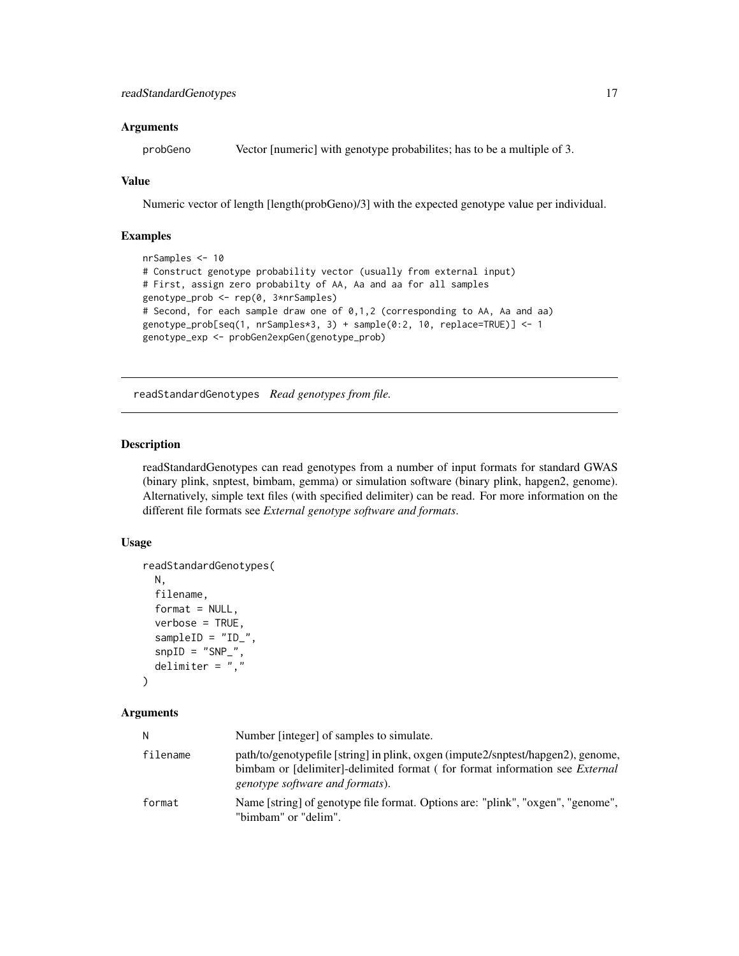# <span id="page-16-0"></span>Arguments

probGeno Vector [numeric] with genotype probabilites; has to be a multiple of 3.

#### Value

Numeric vector of length [length(probGeno)/3] with the expected genotype value per individual.

# Examples

```
nrSamples <- 10
# Construct genotype probability vector (usually from external input)
# First, assign zero probabilty of AA, Aa and aa for all samples
genotype_prob <- rep(0, 3*nrSamples)
# Second, for each sample draw one of 0,1,2 (corresponding to AA, Aa and aa)
genotype_prob[seq(1, nrSamples*3, 3) + sample(0:2, 10, replace=TRUE)] <- 1
genotype_exp <- probGen2expGen(genotype_prob)
```
<span id="page-16-1"></span>readStandardGenotypes *Read genotypes from file.*

# Description

readStandardGenotypes can read genotypes from a number of input formats for standard GWAS (binary plink, snptest, bimbam, gemma) or simulation software (binary plink, hapgen2, genome). Alternatively, simple text files (with specified delimiter) can be read. For more information on the different file formats see *External genotype software and formats*.

# Usage

```
readStandardGenotypes(
 N,
 filename,
  format = NULL,verbose = TRUE,
  sampleID = "ID",
  snpID = "SNP",
  delimiter = ", "\lambda
```

| Ν        | Number [integer] of samples to simulate.                                                                                                                                                                  |
|----------|-----------------------------------------------------------------------------------------------------------------------------------------------------------------------------------------------------------|
| filename | path/to/genotypefile [string] in plink, oxgen (impute2/snptest/hapgen2), genome,<br>bimbam or [delimiter]-delimited format (for format information see <i>External</i><br>genotype software and formats). |
| format   | Name [string] of genotype file format. Options are: "plink", "oxgen", "genome",<br>"bimbam" or "delim".                                                                                                   |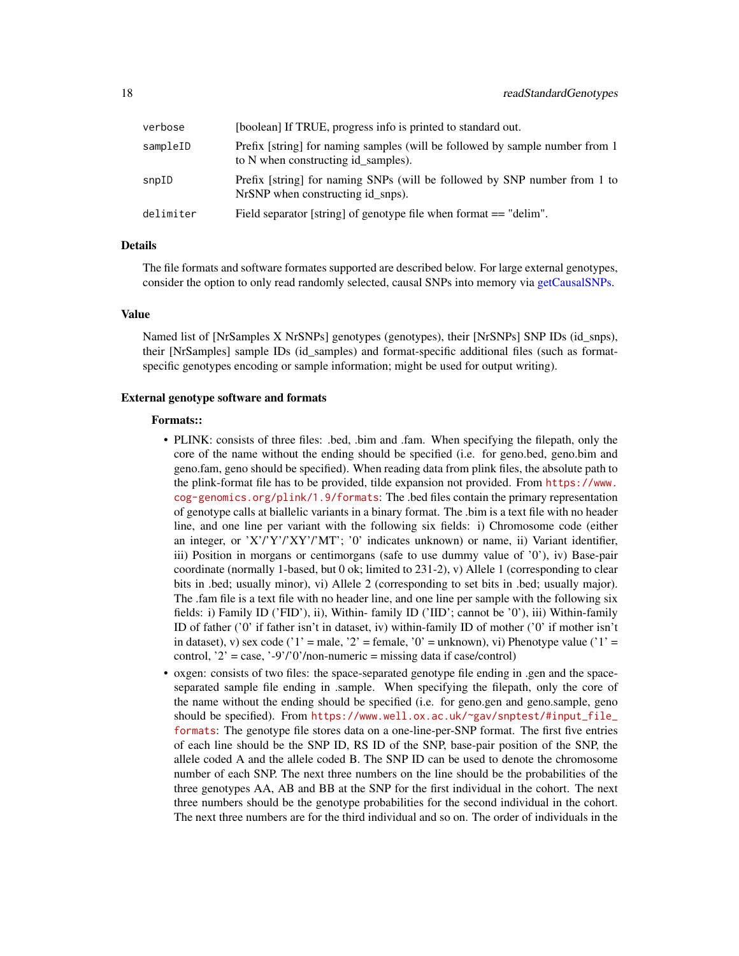<span id="page-17-0"></span>

| verbose   | [boolean] If TRUE, progress info is printed to standard out.                                                        |
|-----------|---------------------------------------------------------------------------------------------------------------------|
| sampleID  | Prefix [string] for naming samples (will be followed by sample number from 1<br>to N when constructing id samples). |
| snpID     | Prefix [string] for naming SNPs (will be followed by SNP number from 1 to<br>NrSNP when constructing id snps).      |
| delimiter | Field separator [string] of genotype file when format == "delim".                                                   |

# Details

The file formats and software formates supported are described below. For large external genotypes, consider the option to only read randomly selected, causal SNPs into memory via [getCausalSNPs.](#page-8-1)

#### Value

Named list of [NrSamples X NrSNPs] genotypes (genotypes), their [NrSNPs] SNP IDs (id\_snps), their [NrSamples] sample IDs (id\_samples) and format-specific additional files (such as formatspecific genotypes encoding or sample information; might be used for output writing).

#### External genotype software and formats

### Formats::

- PLINK: consists of three files: .bed, .bim and .fam. When specifying the filepath, only the core of the name without the ending should be specified (i.e. for geno.bed, geno.bim and geno.fam, geno should be specified). When reading data from plink files, the absolute path to the plink-format file has to be provided, tilde expansion not provided. From [https://www.](https://www.cog-genomics.org/plink/1.9/formats) [cog-genomics.org/plink/1.9/formats](https://www.cog-genomics.org/plink/1.9/formats): The .bed files contain the primary representation of genotype calls at biallelic variants in a binary format. The .bim is a text file with no header line, and one line per variant with the following six fields: i) Chromosome code (either an integer, or 'X'/'Y'/'XY'/'MT'; '0' indicates unknown) or name, ii) Variant identifier, iii) Position in morgans or centimorgans (safe to use dummy value of '0'), iv) Base-pair coordinate (normally 1-based, but 0 ok; limited to 231-2), v) Allele 1 (corresponding to clear bits in .bed; usually minor), vi) Allele 2 (corresponding to set bits in .bed; usually major). The .fam file is a text file with no header line, and one line per sample with the following six fields: i) Family ID ('FID'), ii), Within- family ID ('IID'; cannot be '0'), iii) Within-family ID of father ('0' if father isn't in dataset, iv) within-family ID of mother ('0' if mother isn't in dataset), v) sex code ('1' = male, '2' = female, '0' = unknown), vi) Phenotype value ('1' = control, '2' = case, '-9'/'0'/non-numeric = missing data if case/control)
- oxgen: consists of two files: the space-separated genotype file ending in .gen and the spaceseparated sample file ending in .sample. When specifying the filepath, only the core of the name without the ending should be specified (i.e. for geno.gen and geno.sample, geno should be specified). From [https://www.well.ox.ac.uk/~gav/snptest/#input\\_file\\_](https://www.well.ox.ac.uk/~gav/snptest/#input_file_formats) [formats](https://www.well.ox.ac.uk/~gav/snptest/#input_file_formats): The genotype file stores data on a one-line-per-SNP format. The first five entries of each line should be the SNP ID, RS ID of the SNP, base-pair position of the SNP, the allele coded A and the allele coded B. The SNP ID can be used to denote the chromosome number of each SNP. The next three numbers on the line should be the probabilities of the three genotypes AA, AB and BB at the SNP for the first individual in the cohort. The next three numbers should be the genotype probabilities for the second individual in the cohort. The next three numbers are for the third individual and so on. The order of individuals in the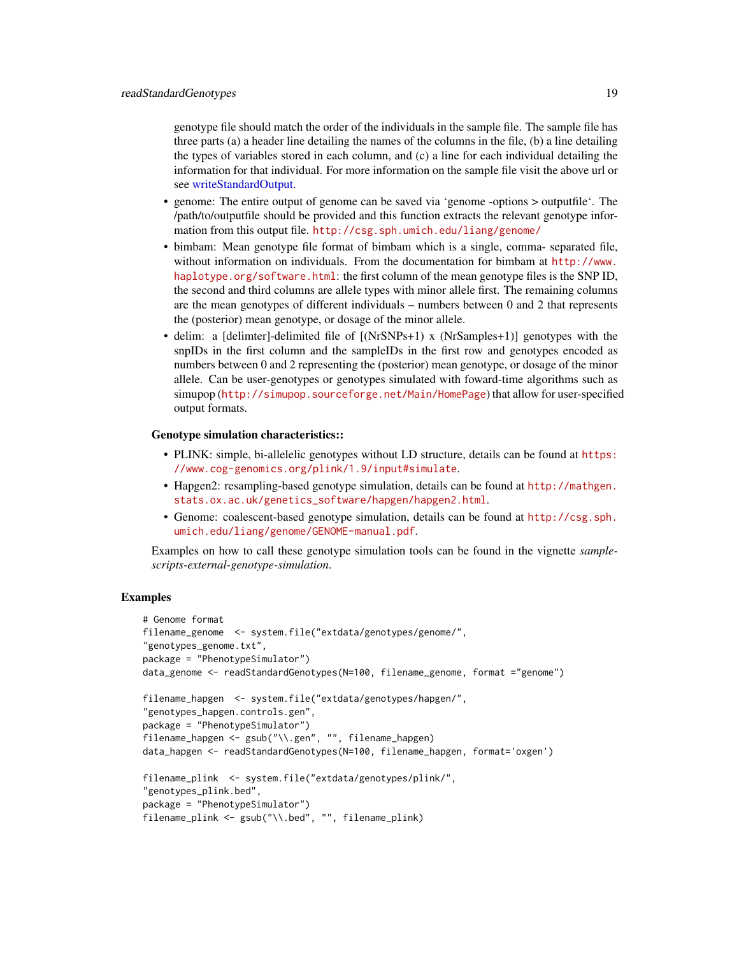<span id="page-18-0"></span>genotype file should match the order of the individuals in the sample file. The sample file has three parts (a) a header line detailing the names of the columns in the file, (b) a line detailing the types of variables stored in each column, and (c) a line for each individual detailing the information for that individual. For more information on the sample file visit the above url or see [writeStandardOutput.](#page-35-1)

- genome: The entire output of genome can be saved via 'genome -options > outputfile'. The /path/to/outputfile should be provided and this function extracts the relevant genotype information from this output file. <http://csg.sph.umich.edu/liang/genome/>
- bimbam: Mean genotype file format of bimbam which is a single, comma- separated file, without information on individuals. From the documentation for bimbam at [http://www.](http://www.haplotype.org/software.html) [haplotype.org/software.html](http://www.haplotype.org/software.html): the first column of the mean genotype files is the SNP ID, the second and third columns are allele types with minor allele first. The remaining columns are the mean genotypes of different individuals – numbers between 0 and 2 that represents the (posterior) mean genotype, or dosage of the minor allele.
- delim: a [delimter]-delimited file of [(NrSNPs+1) x (NrSamples+1)] genotypes with the snpIDs in the first column and the sampleIDs in the first row and genotypes encoded as numbers between 0 and 2 representing the (posterior) mean genotype, or dosage of the minor allele. Can be user-genotypes or genotypes simulated with foward-time algorithms such as simupop (<http://simupop.sourceforge.net/Main/HomePage>) that allow for user-specified output formats.

#### Genotype simulation characteristics::

- PLINK: simple, bi-allelelic genotypes without LD structure, details can be found at [https:](https://www.cog-genomics.org/plink/1.9/input#simulate) [//www.cog-genomics.org/plink/1.9/input#simulate](https://www.cog-genomics.org/plink/1.9/input#simulate).
- Hapgen2: resampling-based genotype simulation, details can be found at [http://mathgen.](http://mathgen.stats.ox.ac.uk/genetics_software/hapgen/hapgen2.html) [stats.ox.ac.uk/genetics\\_software/hapgen/hapgen2.html](http://mathgen.stats.ox.ac.uk/genetics_software/hapgen/hapgen2.html).
- Genome: coalescent-based genotype simulation, details can be found at [http://csg.sph.](http://csg.sph.umich.edu/liang/genome/GENOME-manual.pdf) [umich.edu/liang/genome/GENOME-manual.pdf](http://csg.sph.umich.edu/liang/genome/GENOME-manual.pdf).

Examples on how to call these genotype simulation tools can be found in the vignette *samplescripts-external-genotype-simulation*.

# **Examples**

```
# Genome format
filename_genome <- system.file("extdata/genotypes/genome/",
"genotypes_genome.txt",
package = "PhenotypeSimulator")
data_genome <- readStandardGenotypes(N=100, filename_genome, format ="genome")
filename_hapgen <- system.file("extdata/genotypes/hapgen/",
"genotypes_hapgen.controls.gen",
package = "PhenotypeSimulator")
filename_hapgen <- gsub("\\.gen", "", filename_hapgen)
data_hapgen <- readStandardGenotypes(N=100, filename_hapgen, format='oxgen')
filename_plink <- system.file("extdata/genotypes/plink/",
"genotypes_plink.bed",
package = "PhenotypeSimulator")
filename_plink <- gsub("\\.bed", "", filename_plink)
```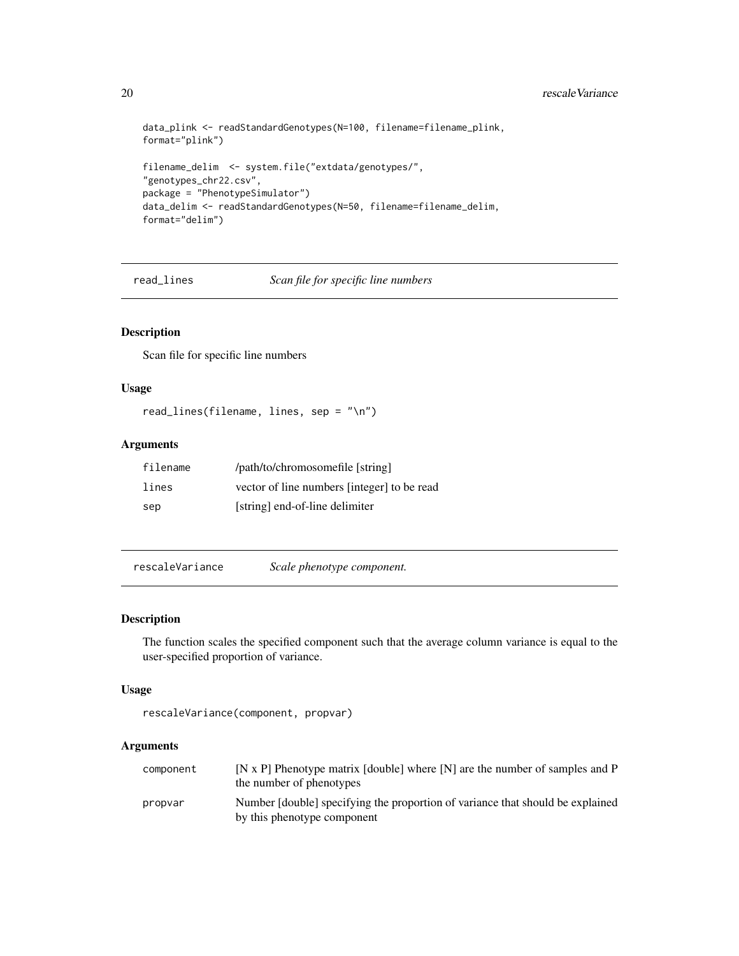```
data_plink <- readStandardGenotypes(N=100, filename=filename_plink,
format="plink")
filename_delim <- system.file("extdata/genotypes/",
"genotypes_chr22.csv",
package = "PhenotypeSimulator")
data_delim <- readStandardGenotypes(N=50, filename=filename_delim,
format="delim")
```
read\_lines *Scan file for specific line numbers*

# Description

Scan file for specific line numbers

#### Usage

```
read_lines(filename, lines, sep = "\n")
```
# Arguments

| filename | /path/to/chromosomefile [string]            |
|----------|---------------------------------------------|
| lines    | vector of line numbers [integer] to be read |
| sep      | [string] end-of-line delimiter              |

<span id="page-19-1"></span>rescaleVariance *Scale phenotype component.*

# Description

The function scales the specified component such that the average column variance is equal to the user-specified proportion of variance.

# Usage

```
rescaleVariance(component, propvar)
```

| component | $[N \times P]$ Phenotype matrix [double] where $[N]$ are the number of samples and P<br>the number of phenotypes |
|-----------|------------------------------------------------------------------------------------------------------------------|
| propvar   | Number [double] specifying the proportion of variance that should be explained                                   |
|           | by this phenotype component                                                                                      |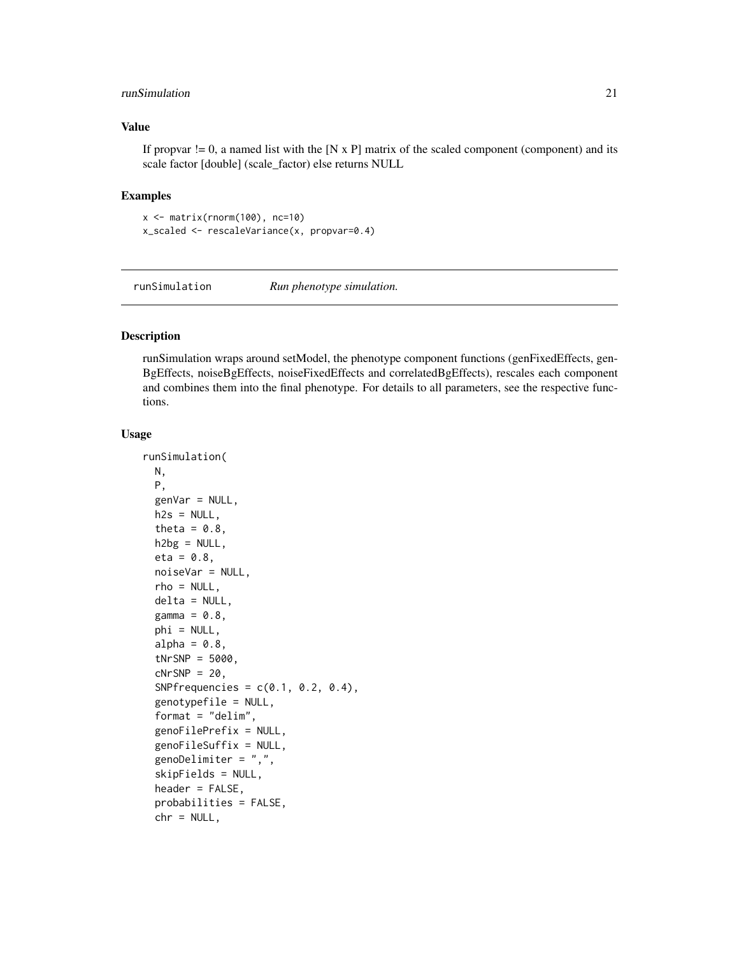# <span id="page-20-0"></span>runSimulation 21

# Value

If propvar  $!= 0$ , a named list with the [N x P] matrix of the scaled component (component) and its scale factor [double] (scale\_factor) else returns NULL

#### Examples

 $x \leftarrow \text{matrix}(rnorm(100), nc=10)$ x\_scaled <- rescaleVariance(x, propvar=0.4)

<span id="page-20-1"></span>runSimulation *Run phenotype simulation.*

# Description

runSimulation wraps around setModel, the phenotype component functions (genFixedEffects, gen-BgEffects, noiseBgEffects, noiseFixedEffects and correlatedBgEffects), rescales each component and combines them into the final phenotype. For details to all parameters, see the respective functions.

#### Usage

```
runSimulation(
 N,
 P,
  genVar = NULL,
 h2s = NULL,theta = 0.8,
 h2bg = NULL,eta = 0.8,
  noiseVar = NULL,
  rho = NULL,
  delta = NULL,
  gamma = 0.8,
 phi = NULL,
  alpha = 0.8,
  tNrSNP = 5000,
  cNrSNP = 20,
  SNPfrequencies = c(0.1, 0.2, 0.4),genotypefile = NULL,
  format = "delim",
  genoFilePrefix = NULL,
  genoFileSuffix = NULL,
  genoDelimiter = ",",
  skipFields = NULL,
  header = FALSE,
  probabilities = FALSE,
  chr = NULL,
```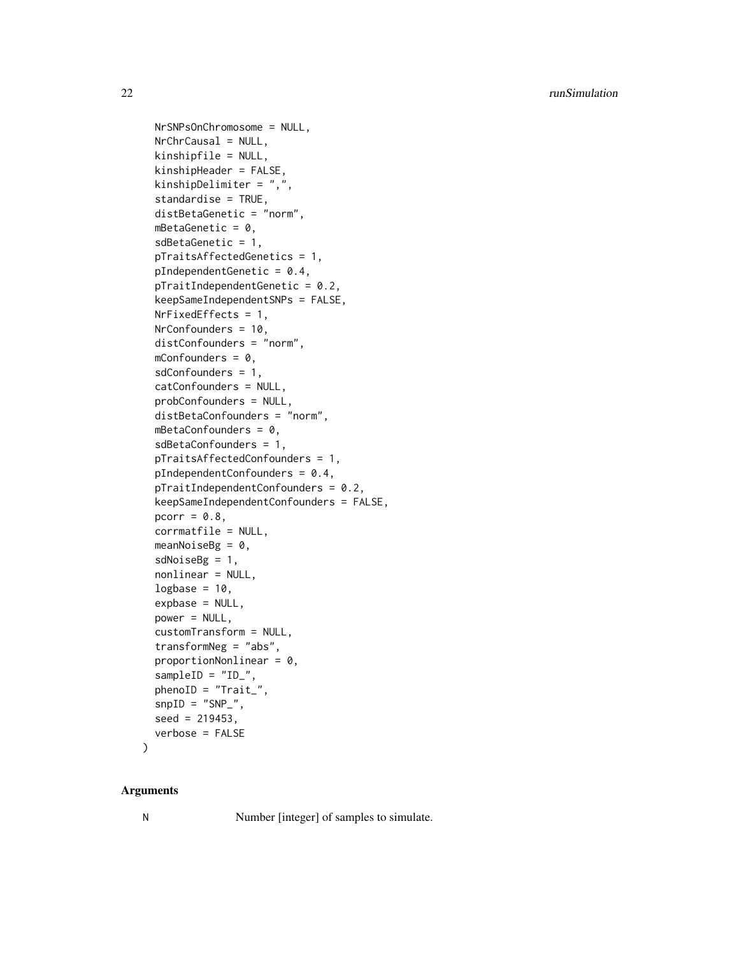```
NrSNPsOnChromosome = NULL,
NrChrCausal = NULL,
kinshipfile = NULL,
kinshipHeader = FALSE,
kinshipDelimiter = ",",
standardise = TRUE,
distBetaGenetic = "norm",
mBetaGenetic = 0,
sdBetaGenetic = 1,
pTraitsAffectedGenetics = 1,
pIndependentGenetic = 0.4,
pTraitIndependentGenetic = 0.2,
keepSameIndependentSNPs = FALSE,
NrFixedEffects = 1,
NrConfounders = 10,
distConfounders = "norm",
mConfounders = 0,
sdConfounders = 1,
catConfounders = NULL,
probConfounders = NULL,
distBetaConfounders = "norm",
mBetaConfounders = 0,
sdBetaConfounders = 1,
pTraitsAffectedConfounders = 1,
pIndependentConfounders = 0.4,
pTraitIndependentConfounders = 0.2,
keepSameIndependentConfounders = FALSE,
pcorr = 0.8,
corrmatfile = NULL,
meanNoiseBg = 0,
sdNoiseBg = 1,
nonlinear = NULL,
logbase = 10,
expbase = NULL,
power = NULL,
customTransform = NULL,
transformNeg = "abs",
proportionNonlinear = 0,
sampleID = "ID",
phenoID = "Trait_",
snpID = "SNP",
seed = 219453,
verbose = FALSE
```
#### )

# Arguments

N Number [integer] of samples to simulate.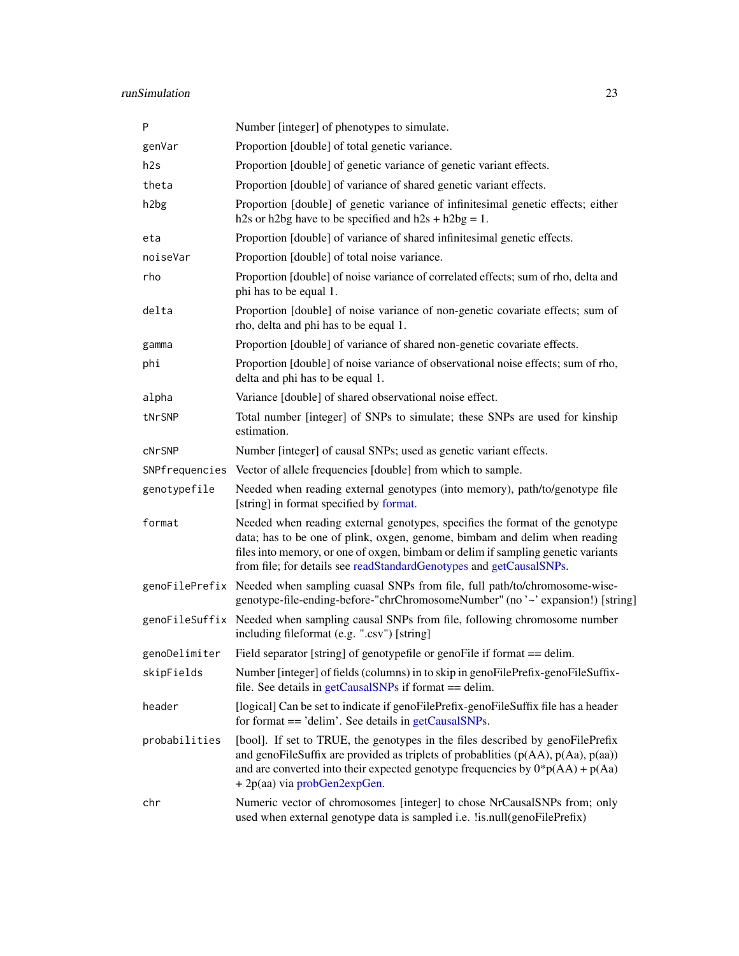# <span id="page-22-0"></span>runSimulation 23

| P             | Number [integer] of phenotypes to simulate.                                                                                                                                                                                                                                                                           |
|---------------|-----------------------------------------------------------------------------------------------------------------------------------------------------------------------------------------------------------------------------------------------------------------------------------------------------------------------|
| genVar        | Proportion [double] of total genetic variance.                                                                                                                                                                                                                                                                        |
| h2s           | Proportion [double] of genetic variance of genetic variant effects.                                                                                                                                                                                                                                                   |
| theta         | Proportion [double] of variance of shared genetic variant effects.                                                                                                                                                                                                                                                    |
| h2bg          | Proportion [double] of genetic variance of infinitesimal genetic effects; either<br>h2s or h2bg have to be specified and h2s + h2bg = 1.                                                                                                                                                                              |
| eta           | Proportion [double] of variance of shared infinitesimal genetic effects.                                                                                                                                                                                                                                              |
| noiseVar      | Proportion [double] of total noise variance.                                                                                                                                                                                                                                                                          |
| rho           | Proportion [double] of noise variance of correlated effects; sum of rho, delta and<br>phi has to be equal 1.                                                                                                                                                                                                          |
| delta         | Proportion [double] of noise variance of non-genetic covariate effects; sum of<br>rho, delta and phi has to be equal 1.                                                                                                                                                                                               |
| gamma         | Proportion [double] of variance of shared non-genetic covariate effects.                                                                                                                                                                                                                                              |
| phi           | Proportion [double] of noise variance of observational noise effects; sum of rho,<br>delta and phi has to be equal 1.                                                                                                                                                                                                 |
| alpha         | Variance [double] of shared observational noise effect.                                                                                                                                                                                                                                                               |
| tNrSNP        | Total number [integer] of SNPs to simulate; these SNPs are used for kinship<br>estimation.                                                                                                                                                                                                                            |
| <b>CNrSNP</b> | Number [integer] of causal SNPs; used as genetic variant effects.                                                                                                                                                                                                                                                     |
|               | SNPfrequencies Vector of allele frequencies [double] from which to sample.                                                                                                                                                                                                                                            |
| genotypefile  | Needed when reading external genotypes (into memory), path/to/genotype file<br>[string] in format specified by format.                                                                                                                                                                                                |
| format        | Needed when reading external genotypes, specifies the format of the genotype<br>data; has to be one of plink, oxgen, genome, bimbam and delim when reading<br>files into memory, or one of oxgen, bimbam or delim if sampling genetic variants<br>from file; for details see readStandardGenotypes and getCausalSNPs. |
|               | genoFilePrefix Needed when sampling cuasal SNPs from file, full path/to/chromosome-wise-<br>genotype-file-ending-before-"chrChromosomeNumber" (no '~' expansion!) [string]                                                                                                                                            |
|               | genoFileSuffix Needed when sampling causal SNPs from file, following chromosome number<br>including fileformat (e.g. ".csv") [string]                                                                                                                                                                                 |
| genoDelimiter | Field separator [string] of genotypefile or genoFile if format == delim.                                                                                                                                                                                                                                              |
| skipFields    | Number [integer] of fields (columns) in to skip in genoFilePrefix-genoFileSuffix-<br>file. See details in $getCausalSNPs$ if format == delim.                                                                                                                                                                         |
| header        | [logical] Can be set to indicate if genoFilePrefix-genoFileSuffix file has a header<br>for format == 'delim'. See details in getCausalSNPs.                                                                                                                                                                           |
| probabilities | [bool]. If set to TRUE, the genotypes in the files described by genoFilePrefix<br>and genoFileSuffix are provided as triplets of probablities $(p(AA), p(Aa), p(aa))$<br>and are converted into their expected genotype frequencies by $0^*p(AA) + p(Aa)$<br>+ 2p(aa) via probGen2expGen.                             |
| chr           | Numeric vector of chromosomes [integer] to chose NrCausalSNPs from; only<br>used when external genotype data is sampled i.e. lis.null(genoFilePrefix)                                                                                                                                                                 |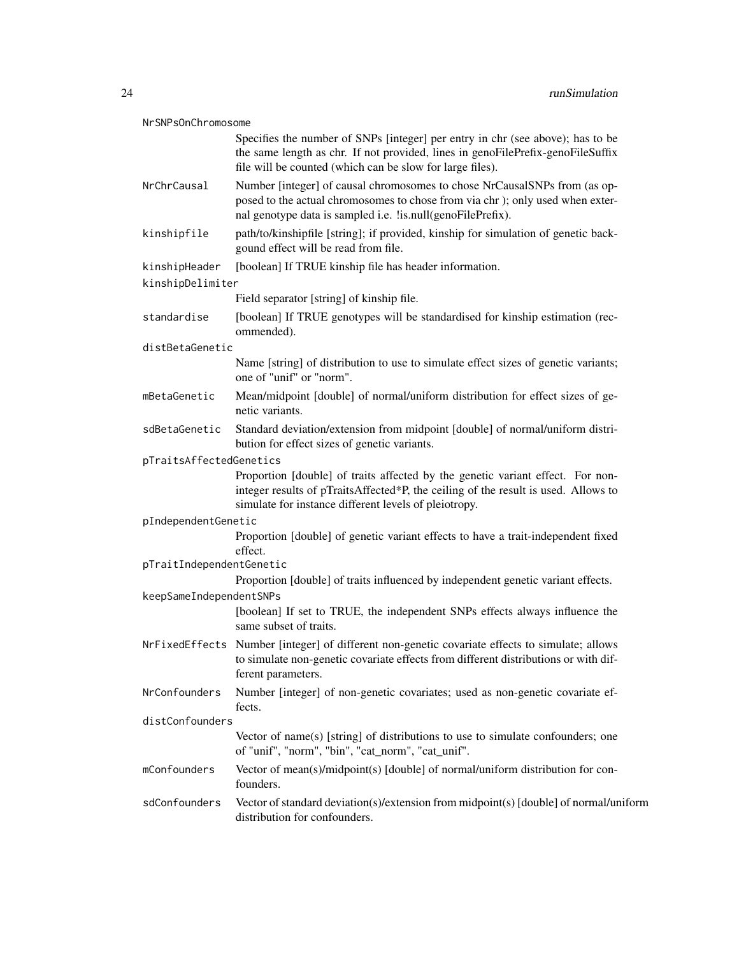# NrSNPsOnChromosome

|                          | Specifies the number of SNPs [integer] per entry in chr (see above); has to be<br>the same length as chr. If not provided, lines in genoFilePrefix-genoFileSuffix<br>file will be counted (which can be slow for large files). |
|--------------------------|--------------------------------------------------------------------------------------------------------------------------------------------------------------------------------------------------------------------------------|
| NrChrCausal              | Number [integer] of causal chromosomes to chose NrCausalSNPs from (as op-<br>posed to the actual chromosomes to chose from via chr); only used when exter-<br>nal genotype data is sampled i.e. !is.null(genoFilePrefix).      |
| kinshipfile              | path/to/kinshipfile [string]; if provided, kinship for simulation of genetic back-<br>gound effect will be read from file.                                                                                                     |
| kinshipHeader            | [boolean] If TRUE kinship file has header information.                                                                                                                                                                         |
| kinshipDelimiter         |                                                                                                                                                                                                                                |
|                          | Field separator [string] of kinship file.                                                                                                                                                                                      |
| standardise              | [boolean] If TRUE genotypes will be standardised for kinship estimation (rec-<br>ommended).                                                                                                                                    |
| distBetaGenetic          |                                                                                                                                                                                                                                |
|                          | Name [string] of distribution to use to simulate effect sizes of genetic variants;<br>one of "unif" or "norm".                                                                                                                 |
| mBetaGenetic             | Mean/midpoint [double] of normal/uniform distribution for effect sizes of ge-<br>netic variants.                                                                                                                               |
| sdBetaGenetic            | Standard deviation/extension from midpoint [double] of normal/uniform distri-<br>bution for effect sizes of genetic variants.                                                                                                  |
| pTraitsAffectedGenetics  |                                                                                                                                                                                                                                |
|                          | Proportion [double] of traits affected by the genetic variant effect. For non-<br>integer results of pTraitsAffected*P, the ceiling of the result is used. Allows to<br>simulate for instance different levels of pleiotropy.  |
| pIndependentGenetic      |                                                                                                                                                                                                                                |
|                          | Proportion [double] of genetic variant effects to have a trait-independent fixed<br>effect.                                                                                                                                    |
| pTraitIndependentGenetic |                                                                                                                                                                                                                                |
|                          | Proportion [double] of traits influenced by independent genetic variant effects.                                                                                                                                               |
| keepSameIndependentSNPs  | [boolean] If set to TRUE, the independent SNPs effects always influence the<br>same subset of traits.                                                                                                                          |
|                          |                                                                                                                                                                                                                                |
|                          | NrFixedEffects Number [integer] of different non-genetic covariate effects to simulate; allows<br>to simulate non-genetic covariate effects from different distributions or with dif-<br>ferent parameters.                    |
| NrConfounders            | Number [integer] of non-genetic covariates; used as non-genetic covariate ef-<br>fects.                                                                                                                                        |
| distConfounders          |                                                                                                                                                                                                                                |
|                          | Vector of name(s) [string] of distributions to use to simulate confounders; one<br>of "unif", "norm", "bin", "cat_norm", "cat_unif".                                                                                           |
| mConfounders             | Vector of mean(s)/midpoint(s) [double] of normal/uniform distribution for con-<br>founders.                                                                                                                                    |
| sdConfounders            | Vector of standard deviation(s)/extension from midpoint(s) [double] of normal/uniform<br>distribution for confounders.                                                                                                         |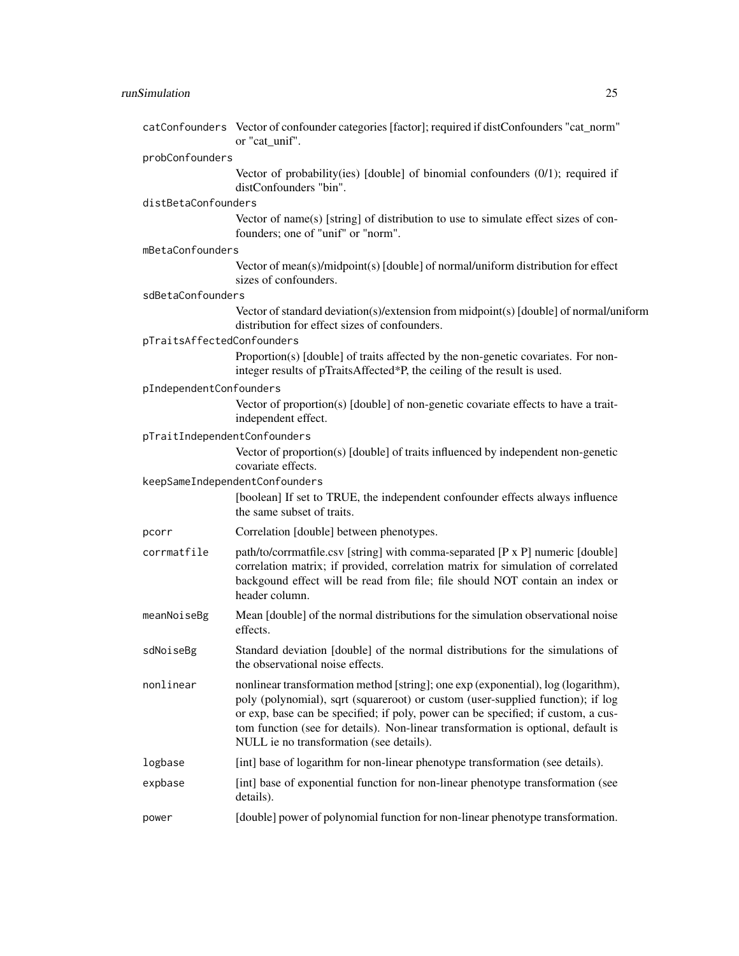|                              | catConfounders Vector of confounder categories [factor]; required if distConfounders "cat_norm"<br>or "cat unif".                                                                                                                                                                                                                                                                          |
|------------------------------|--------------------------------------------------------------------------------------------------------------------------------------------------------------------------------------------------------------------------------------------------------------------------------------------------------------------------------------------------------------------------------------------|
| probConfounders              |                                                                                                                                                                                                                                                                                                                                                                                            |
|                              | Vector of probability (ies) [double] of binomial confounders $(0/1)$ ; required if<br>distConfounders "bin".                                                                                                                                                                                                                                                                               |
| distBetaConfounders          |                                                                                                                                                                                                                                                                                                                                                                                            |
|                              | Vector of name(s) [string] of distribution to use to simulate effect sizes of con-<br>founders; one of "unif" or "norm".                                                                                                                                                                                                                                                                   |
| mBetaConfounders             |                                                                                                                                                                                                                                                                                                                                                                                            |
|                              | Vector of mean(s)/midpoint(s) [double] of normal/uniform distribution for effect<br>sizes of confounders.                                                                                                                                                                                                                                                                                  |
| sdBetaConfounders            |                                                                                                                                                                                                                                                                                                                                                                                            |
|                              | Vector of standard deviation(s)/extension from midpoint(s) [double] of normal/uniform<br>distribution for effect sizes of confounders.                                                                                                                                                                                                                                                     |
| pTraitsAffectedConfounders   |                                                                                                                                                                                                                                                                                                                                                                                            |
|                              | Proportion(s) [double] of traits affected by the non-genetic covariates. For non-<br>integer results of pTraitsAffected*P, the ceiling of the result is used.                                                                                                                                                                                                                              |
| pIndependentConfounders      |                                                                                                                                                                                                                                                                                                                                                                                            |
|                              | Vector of proportion(s) [double] of non-genetic covariate effects to have a trait-<br>independent effect.                                                                                                                                                                                                                                                                                  |
| pTraitIndependentConfounders |                                                                                                                                                                                                                                                                                                                                                                                            |
|                              | Vector of proportion(s) [double] of traits influenced by independent non-genetic<br>covariate effects.                                                                                                                                                                                                                                                                                     |
|                              | keepSameIndependentConfounders                                                                                                                                                                                                                                                                                                                                                             |
|                              | [boolean] If set to TRUE, the independent confounder effects always influence<br>the same subset of traits.                                                                                                                                                                                                                                                                                |
| pcorr                        | Correlation [double] between phenotypes.                                                                                                                                                                                                                                                                                                                                                   |
| corrmatfile                  | path/to/corrmatfile.csv [string] with comma-separated [P x P] numeric [double]<br>correlation matrix; if provided, correlation matrix for simulation of correlated<br>backgound effect will be read from file; file should NOT contain an index or<br>header column.                                                                                                                       |
| meanNoiseBg                  | Mean [double] of the normal distributions for the simulation observational noise<br>effects.                                                                                                                                                                                                                                                                                               |
| sdNoiseBg                    | Standard deviation [double] of the normal distributions for the simulations of<br>the observational noise effects.                                                                                                                                                                                                                                                                         |
| nonlinear                    | nonlinear transformation method [string]; one exp (exponential), log (logarithm),<br>poly (polynomial), sqrt (squareroot) or custom (user-supplied function); if log<br>or exp, base can be specified; if poly, power can be specified; if custom, a cus-<br>tom function (see for details). Non-linear transformation is optional, default is<br>NULL ie no transformation (see details). |
| logbase                      | [int] base of logarithm for non-linear phenotype transformation (see details).                                                                                                                                                                                                                                                                                                             |
| expbase                      | [int] base of exponential function for non-linear phenotype transformation (see<br>details).                                                                                                                                                                                                                                                                                               |
| power                        | [double] power of polynomial function for non-linear phenotype transformation.                                                                                                                                                                                                                                                                                                             |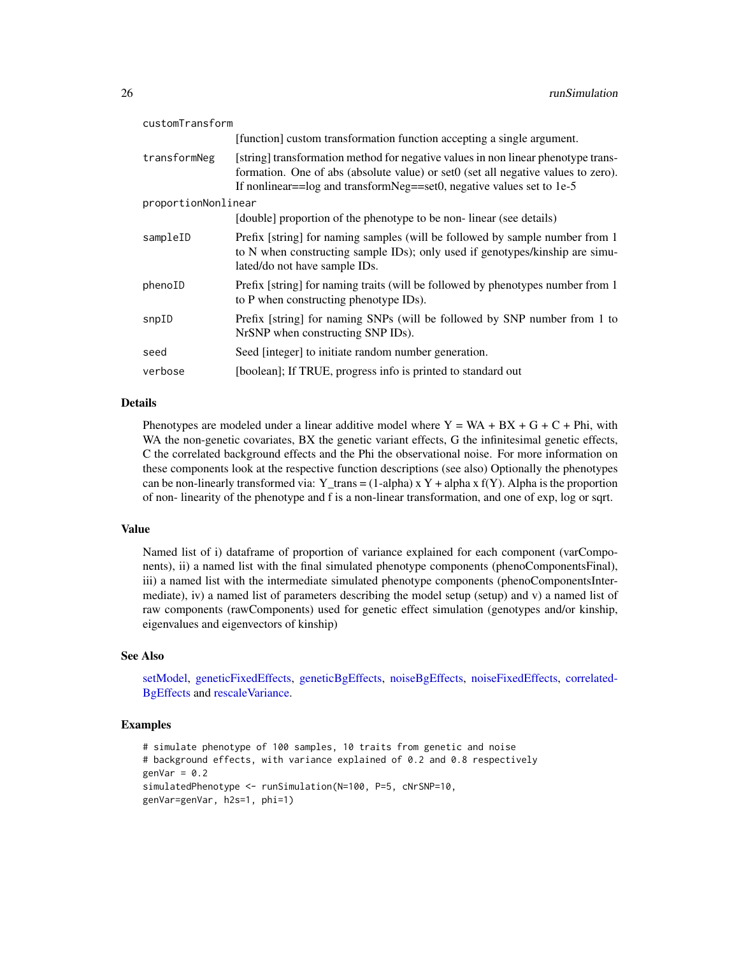<span id="page-25-0"></span>

| customTransform     |                                                                                                                                                                                                                                                   |
|---------------------|---------------------------------------------------------------------------------------------------------------------------------------------------------------------------------------------------------------------------------------------------|
|                     | [function] custom transformation function accepting a single argument.                                                                                                                                                                            |
| transformNeg        | [string] transformation method for negative values in non linear phenotype trans-<br>formation. One of abs (absolute value) or set0 (set all negative values to zero).<br>If nonlinear= $log$ and transformNeg==set0, negative values set to 1e-5 |
| proportionNonlinear |                                                                                                                                                                                                                                                   |
|                     | [double] proportion of the phenotype to be non-linear (see details)                                                                                                                                                                               |
| sampleID            | Prefix [string] for naming samples (will be followed by sample number from 1<br>to N when constructing sample IDs); only used if genotypes/kinship are simu-<br>lated/do not have sample IDs.                                                     |
| phenoID             | Prefix [string] for naming traits (will be followed by phenotypes number from 1<br>to P when constructing phenotype IDs.                                                                                                                          |
| snpID               | Prefix [string] for naming SNPs (will be followed by SNP number from 1 to<br>NrSNP when constructing SNP IDs).                                                                                                                                    |
| seed                | Seed [integer] to initiate random number generation.                                                                                                                                                                                              |
| verbose             | [boolean]; If TRUE, progress info is printed to standard out                                                                                                                                                                                      |

# Details

Phenotypes are modeled under a linear additive model where  $Y = WA + BX + G + C + Phi$ , with WA the non-genetic covariates, BX the genetic variant effects, G the infinitesimal genetic effects, C the correlated background effects and the Phi the observational noise. For more information on these components look at the respective function descriptions (see also) Optionally the phenotypes can be non-linearly transformed via:  $Y_{trans} = (1-\alpha)$  x  $Y + \alpha$  alpha x  $f(Y)$ . Alpha is the proportion of non- linearity of the phenotype and f is a non-linear transformation, and one of exp, log or sqrt.

#### Value

Named list of i) dataframe of proportion of variance explained for each component (varComponents), ii) a named list with the final simulated phenotype components (phenoComponentsFinal), iii) a named list with the intermediate simulated phenotype components (phenoComponentsIntermediate), iv) a named list of parameters describing the model setup (setup) and v) a named list of raw components (rawComponents) used for genetic effect simulation (genotypes and/or kinship, eigenvalues and eigenvectors of kinship)

# See Also

[setModel,](#page-27-1) [geneticFixedEffects,](#page-6-1) [geneticBgEffects,](#page-5-1) [noiseBgEffects,](#page-12-1) [noiseFixedEffects,](#page-13-1) [correlated-](#page-3-1)[BgEffects](#page-3-1) and [rescaleVariance.](#page-19-1)

# Examples

```
# simulate phenotype of 100 samples, 10 traits from genetic and noise
# background effects, with variance explained of 0.2 and 0.8 respectively
genVar = 0.2simulatedPhenotype <- runSimulation(N=100, P=5, cNrSNP=10,
genVar=genVar, h2s=1, phi=1)
```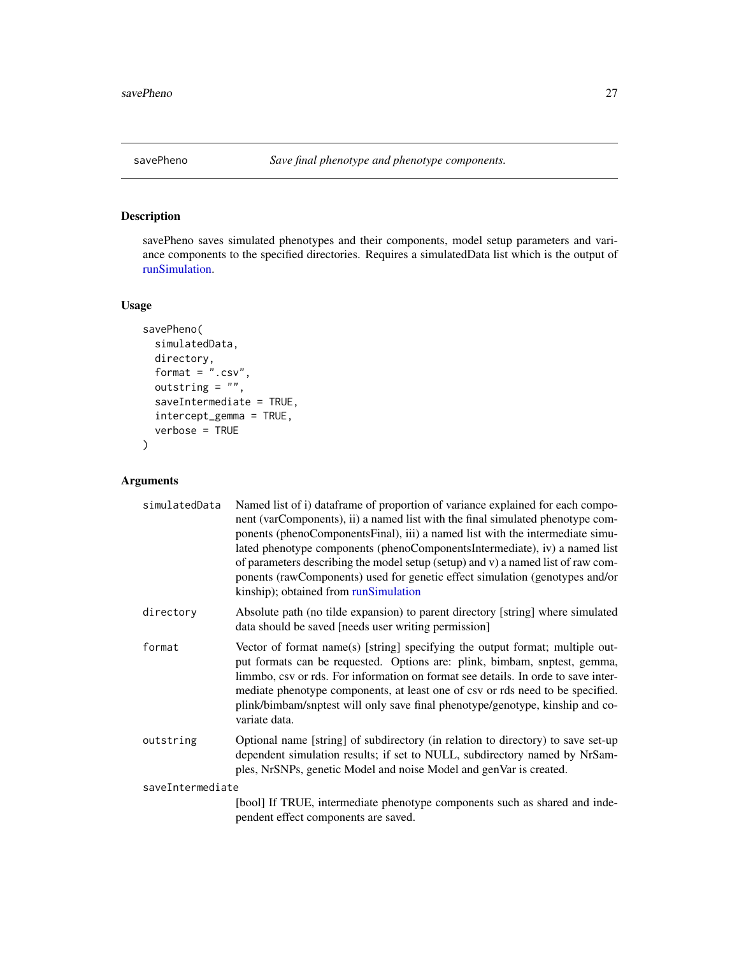<span id="page-26-1"></span><span id="page-26-0"></span>

# Description

savePheno saves simulated phenotypes and their components, model setup parameters and variance components to the specified directories. Requires a simulatedData list which is the output of [runSimulation.](#page-20-1)

# Usage

```
savePheno(
  simulatedData,
  directory,
  format = ".csv",
  outstring = ",
  saveIntermediate = TRUE,
  intercept_gemma = TRUE,
  verbose = TRUE
)
```

| simulatedData    | Named list of i) dataframe of proportion of variance explained for each compo-<br>nent (varComponents), ii) a named list with the final simulated phenotype com-<br>ponents (phenoComponentsFinal), iii) a named list with the intermediate simu-<br>lated phenotype components (phenoComponentsIntermediate), iv) a named list<br>of parameters describing the model setup (setup) and v) a named list of raw com-<br>ponents (rawComponents) used for genetic effect simulation (genotypes and/or<br>kinship); obtained from runSimulation |
|------------------|----------------------------------------------------------------------------------------------------------------------------------------------------------------------------------------------------------------------------------------------------------------------------------------------------------------------------------------------------------------------------------------------------------------------------------------------------------------------------------------------------------------------------------------------|
| directory        | Absolute path (no tilde expansion) to parent directory [string] where simulated<br>data should be saved [needs user writing permission]                                                                                                                                                                                                                                                                                                                                                                                                      |
| format           | Vector of format name(s) [string] specifying the output format; multiple out-<br>put formats can be requested. Options are: plink, bimbam, snptest, gemma,<br>limmbo, csv or rds. For information on format see details. In orde to save inter-<br>mediate phenotype components, at least one of csv or rds need to be specified.<br>plink/bimbam/snptest will only save final phenotype/genotype, kinship and co-<br>variate data.                                                                                                          |
| outstring        | Optional name [string] of subdirectory (in relation to directory) to save set-up<br>dependent simulation results; if set to NULL, subdirectory named by NrSam-<br>ples, NrSNPs, genetic Model and noise Model and genVar is created.                                                                                                                                                                                                                                                                                                         |
| saveIntermediate |                                                                                                                                                                                                                                                                                                                                                                                                                                                                                                                                              |
|                  | [bool] If TRUE, intermediate phenotype components such as shared and inde-<br>pendent effect components are saved.                                                                                                                                                                                                                                                                                                                                                                                                                           |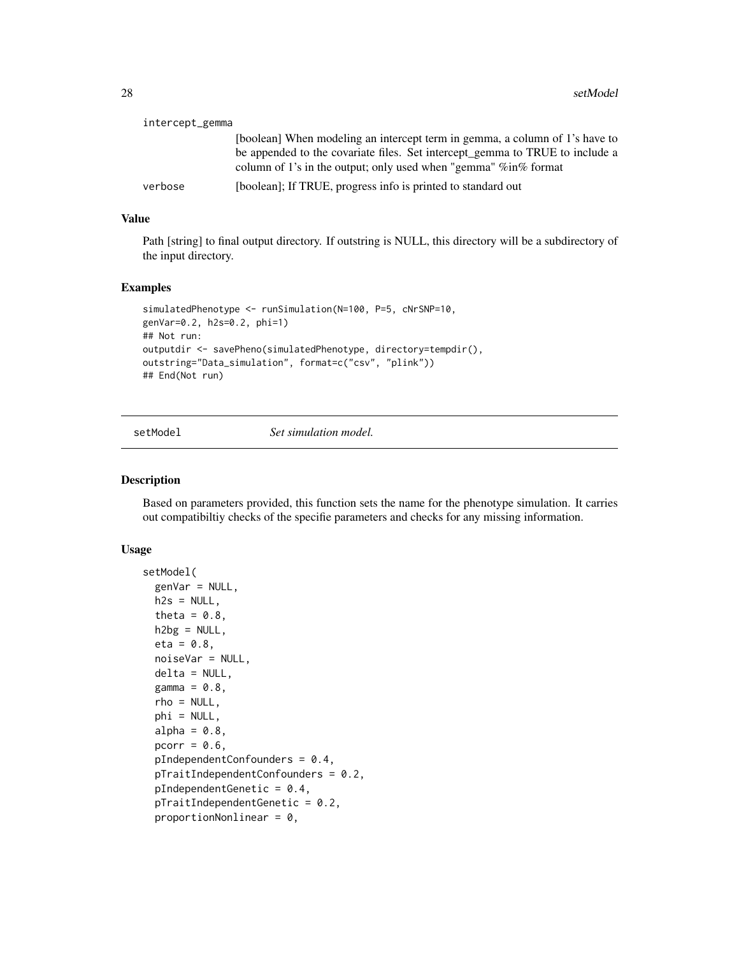<span id="page-27-0"></span>

| intercept_gemma |                                                                              |
|-----------------|------------------------------------------------------------------------------|
|                 | [boolean] When modeling an intercept term in gemma, a column of 1's have to  |
|                 | be appended to the covariate files. Set intercept_gemma to TRUE to include a |
|                 | column of 1's in the output; only used when "gemma" $\%$ in $\%$ format      |
| verbose         | [boolean]; If TRUE, progress info is printed to standard out                 |

# Value

Path [string] to final output directory. If outstring is NULL, this directory will be a subdirectory of the input directory.

# Examples

```
simulatedPhenotype <- runSimulation(N=100, P=5, cNrSNP=10,
genVar=0.2, h2s=0.2, phi=1)
## Not run:
outputdir <- savePheno(simulatedPhenotype, directory=tempdir(),
outstring="Data_simulation", format=c("csv", "plink"))
## End(Not run)
```
<span id="page-27-1"></span>setModel *Set simulation model.*

#### Description

Based on parameters provided, this function sets the name for the phenotype simulation. It carries out compatibiltiy checks of the specifie parameters and checks for any missing information.

#### Usage

```
setModel(
 genVar = NULL,
 h2s = NULL,theta = 0.8,
 h2bg = NULL,eta = 0.8,
 noiseVar = NULL,
 delta = NULL,
 gamma = 0.8,
 rho = NULL,phi = NULL,
 alpha = 0.8,
 pcorr = 0.6,
 pIndependentConfounders = 0.4,
 pTraindependentConfounders = 0.2pIndependentGenetic = 0.4,
 pTraitIndependentGenetic = 0.2,
 proportionNonlinear = 0,
```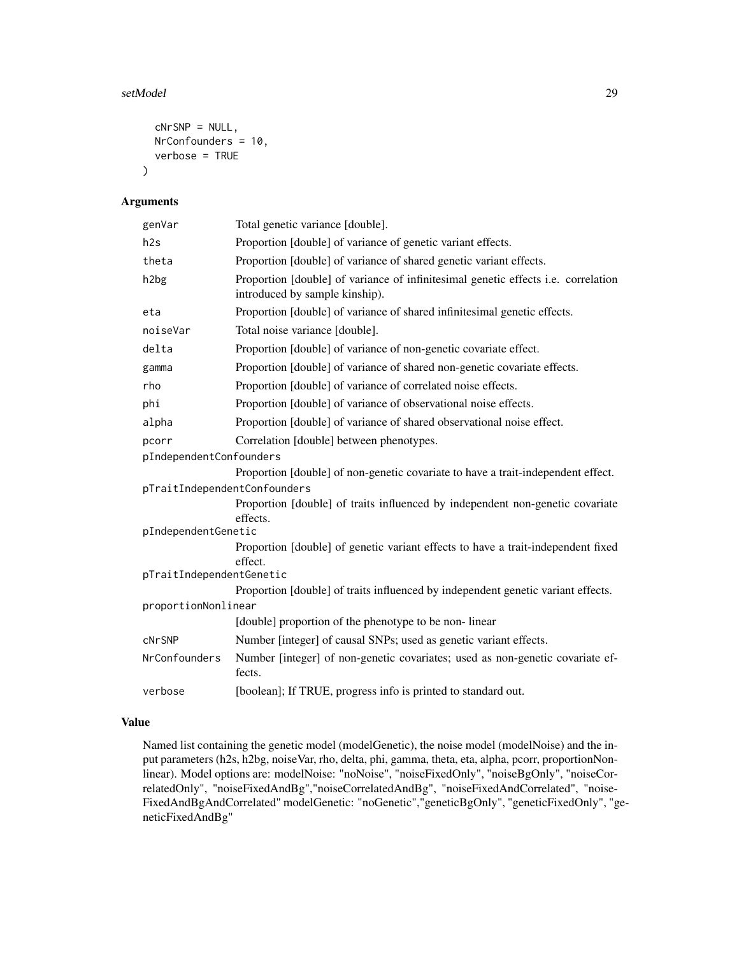# setModel 29

```
cNrSNP = NULL,
NrConfounders = 10,
verbose = TRUE
```
# Arguments

 $\mathcal{L}$ 

| genVar                       | Total genetic variance [double].                                                                                    |
|------------------------------|---------------------------------------------------------------------------------------------------------------------|
| h2s                          | Proportion [double] of variance of genetic variant effects.                                                         |
| theta                        | Proportion [double] of variance of shared genetic variant effects.                                                  |
| h <sub>2</sub> bg            | Proportion [double] of variance of infinitesimal genetic effects i.e. correlation<br>introduced by sample kinship). |
| eta                          | Proportion [double] of variance of shared infinitesimal genetic effects.                                            |
| noiseVar                     | Total noise variance [double].                                                                                      |
| delta                        | Proportion [double] of variance of non-genetic covariate effect.                                                    |
| gamma                        | Proportion [double] of variance of shared non-genetic covariate effects.                                            |
| rho                          | Proportion [double] of variance of correlated noise effects.                                                        |
| phi                          | Proportion [double] of variance of observational noise effects.                                                     |
| alpha                        | Proportion [double] of variance of shared observational noise effect.                                               |
| pcorr                        | Correlation [double] between phenotypes.                                                                            |
| pIndependentConfounders      |                                                                                                                     |
|                              | Proportion [double] of non-genetic covariate to have a trait-independent effect.                                    |
| pTraitIndependentConfounders |                                                                                                                     |
|                              | Proportion [double] of traits influenced by independent non-genetic covariate                                       |
|                              | effects.                                                                                                            |
| pIndependentGenetic          |                                                                                                                     |
|                              | Proportion [double] of genetic variant effects to have a trait-independent fixed<br>effect.                         |
| pTraitIndependentGenetic     |                                                                                                                     |
|                              | Proportion [double] of traits influenced by independent genetic variant effects.                                    |
| proportionNonlinear          |                                                                                                                     |
|                              | [double] proportion of the phenotype to be non-linear                                                               |
| cNrSNP                       | Number [integer] of causal SNPs; used as genetic variant effects.                                                   |
| NrConfounders                | Number [integer] of non-genetic covariates; used as non-genetic covariate ef-<br>fects.                             |
| verbose                      | [boolean]; If TRUE, progress info is printed to standard out.                                                       |

# Value

Named list containing the genetic model (modelGenetic), the noise model (modelNoise) and the input parameters (h2s, h2bg, noiseVar, rho, delta, phi, gamma, theta, eta, alpha, pcorr, proportionNonlinear). Model options are: modelNoise: "noNoise", "noiseFixedOnly", "noiseBgOnly", "noiseCorrelatedOnly", "noiseFixedAndBg","noiseCorrelatedAndBg", "noiseFixedAndCorrelated", "noise-FixedAndBgAndCorrelated" modelGenetic: "noGenetic","geneticBgOnly", "geneticFixedOnly", "geneticFixedAndBg"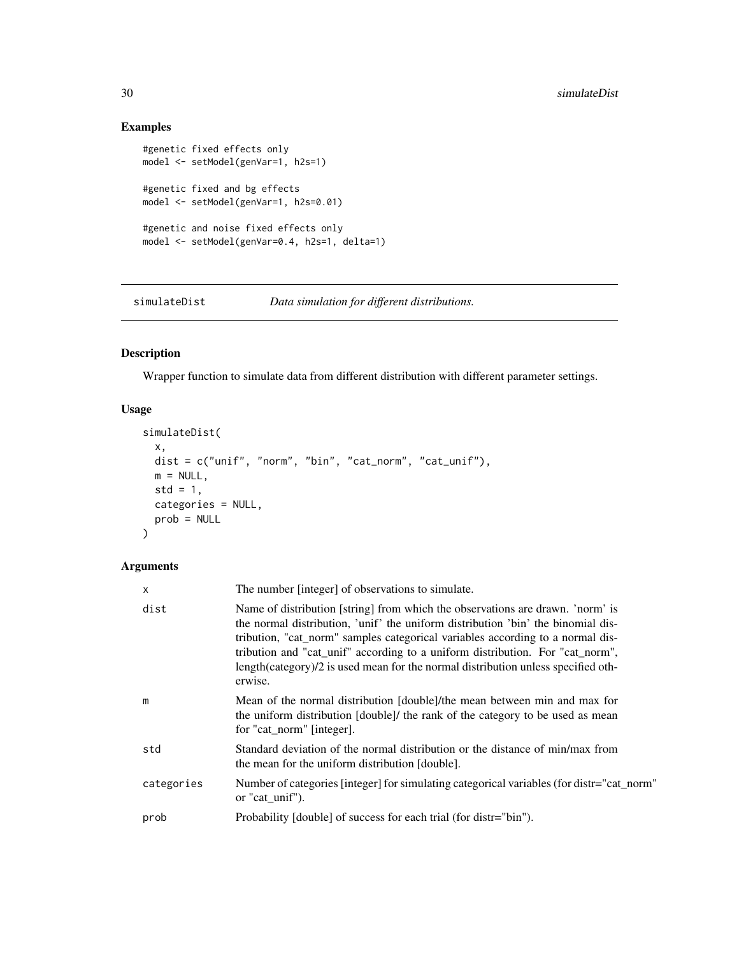# Examples

```
#genetic fixed effects only
model <- setModel(genVar=1, h2s=1)
#genetic fixed and bg effects
model <- setModel(genVar=1, h2s=0.01)
#genetic and noise fixed effects only
model <- setModel(genVar=0.4, h2s=1, delta=1)
```
<span id="page-29-1"></span>simulateDist *Data simulation for different distributions.*

# Description

Wrapper function to simulate data from different distribution with different parameter settings.

# Usage

```
simulateDist(
 x,
 dist = c("unif", "norm", "bin", "cat_norm", "cat_unif"),
 m = NULL,std = 1,
 categories = NULL,
 prob = NULL
)
```

| X          | The number [integer] of observations to simulate.                                                                                                                                                                                                                                                                                                                                                                                     |
|------------|---------------------------------------------------------------------------------------------------------------------------------------------------------------------------------------------------------------------------------------------------------------------------------------------------------------------------------------------------------------------------------------------------------------------------------------|
| dist       | Name of distribution [string] from which the observations are drawn. 'norm' is<br>the normal distribution, 'unif' the uniform distribution 'bin' the binomial dis-<br>tribution, "cat_norm" samples categorical variables according to a normal dis-<br>tribution and "cat_unif" according to a uniform distribution. For "cat_norm",<br>length(category)/2 is used mean for the normal distribution unless specified oth-<br>erwise. |
| m          | Mean of the normal distribution [double]/the mean between min and max for<br>the uniform distribution [double]/ the rank of the category to be used as mean<br>for "cat_norm" [integer].                                                                                                                                                                                                                                              |
| std        | Standard deviation of the normal distribution or the distance of min/max from<br>the mean for the uniform distribution [double].                                                                                                                                                                                                                                                                                                      |
| categories | Number of categories [integer] for simulating categorical variables (for distr="cat_norm"<br>or "cat_unif").                                                                                                                                                                                                                                                                                                                          |
| prob       | Probability [double] of success for each trial (for distr="bin").                                                                                                                                                                                                                                                                                                                                                                     |

<span id="page-29-0"></span>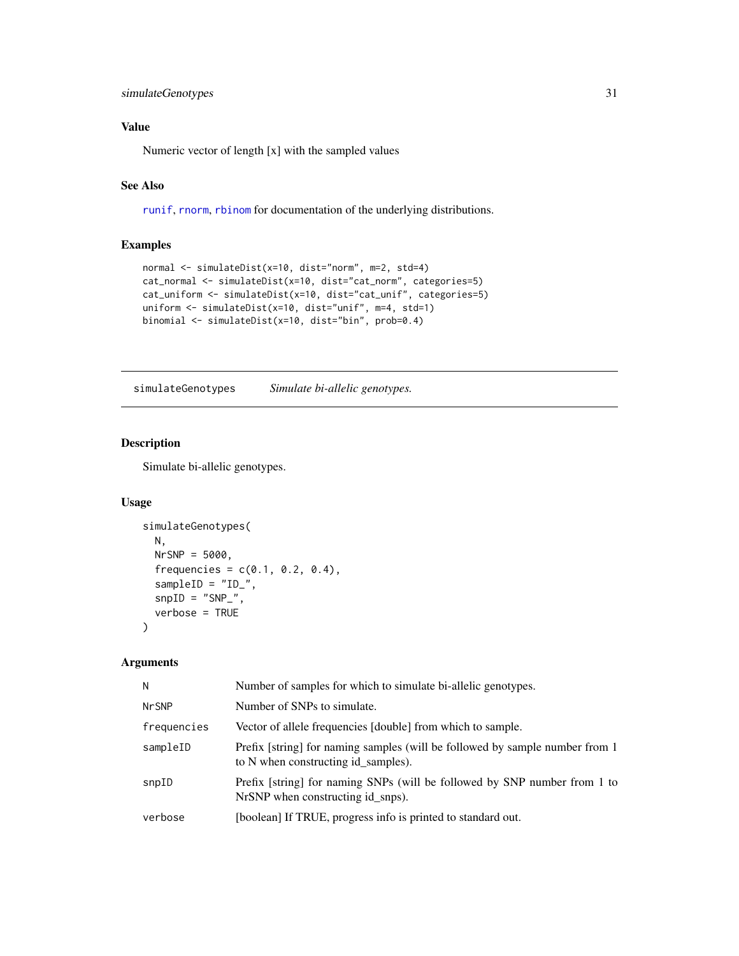# <span id="page-30-0"></span>simulateGenotypes 31

# Value

Numeric vector of length [x] with the sampled values

# See Also

[runif](#page-0-0), [rnorm](#page-0-0), [rbinom](#page-0-0) for documentation of the underlying distributions.

# Examples

```
normal <- simulateDist(x=10, dist="norm", m=2, std=4)
cat_normal <- simulateDist(x=10, dist="cat_norm", categories=5)
cat_uniform <- simulateDist(x=10, dist="cat_unif", categories=5)
uniform <- simulateDist(x=10, dist="unif", m=4, std=1)
binomial <- simulateDist(x=10, dist="bin", prob=0.4)
```
simulateGenotypes *Simulate bi-allelic genotypes.*

# Description

Simulate bi-allelic genotypes.

# Usage

```
simulateGenotypes(
 N,
 NrSNP = 5000,
  frequencies = c(0.1, 0.2, 0.4),
  sampleID = "ID_",
  snpID = "SNP",
  verbose = TRUE
\lambda
```

| N            | Number of samples for which to simulate bi-allelic genotypes.                                                       |
|--------------|---------------------------------------------------------------------------------------------------------------------|
| <b>NrSNP</b> | Number of SNPs to simulate.                                                                                         |
| frequencies  | Vector of allele frequencies [double] from which to sample.                                                         |
| sampleID     | Prefix [string] for naming samples (will be followed by sample number from 1<br>to N when constructing id samples). |
| snpID        | Prefix [string] for naming SNPs (will be followed by SNP number from 1 to<br>NrSNP when constructing id snps).      |
| verbose      | [boolean] If TRUE, progress info is printed to standard out.                                                        |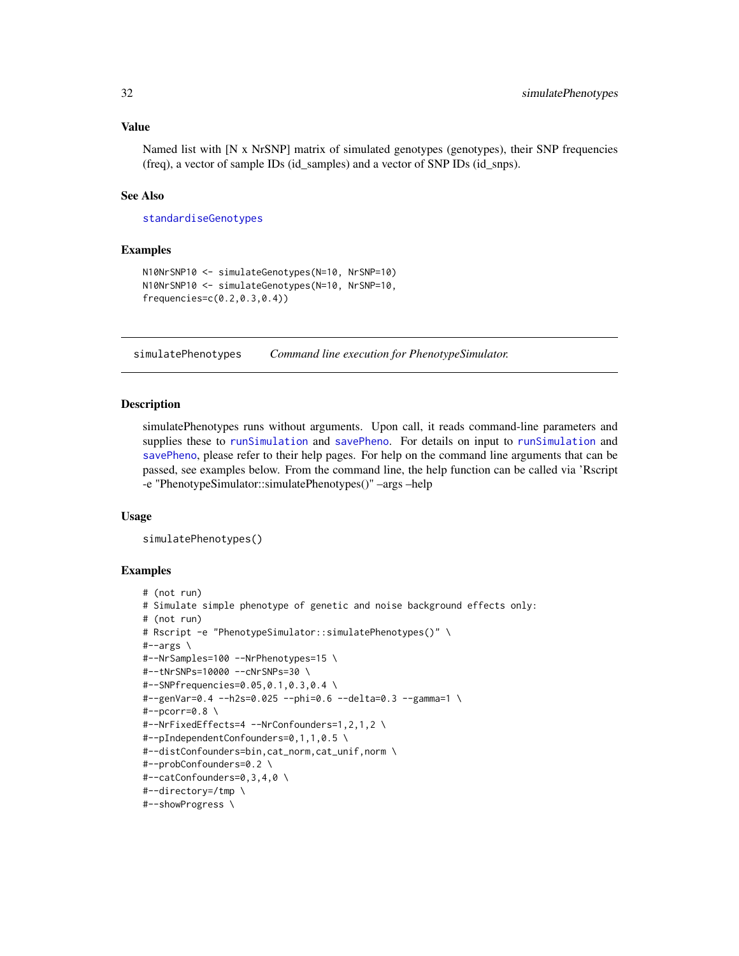# Value

Named list with [N x NrSNP] matrix of simulated genotypes (genotypes), their SNP frequencies (freq), a vector of sample IDs (id\_samples) and a vector of SNP IDs (id\_snps).

# See Also

[standardiseGenotypes](#page-32-1)

# Examples

```
N10NrSNP10 <- simulateGenotypes(N=10, NrSNP=10)
N10NrSNP10 <- simulateGenotypes(N=10, NrSNP=10,
frequencies=c(0.2,0.3,0.4))
```
simulatePhenotypes *Command line execution for PhenotypeSimulator.*

#### Description

simulatePhenotypes runs without arguments. Upon call, it reads command-line parameters and supplies these to [runSimulation](#page-20-1) and [savePheno](#page-26-1). For details on input to [runSimulation](#page-20-1) and [savePheno](#page-26-1), please refer to their help pages. For help on the command line arguments that can be passed, see examples below. From the command line, the help function can be called via 'Rscript -e "PhenotypeSimulator::simulatePhenotypes()" –args –help

# Usage

```
simulatePhenotypes()
```
# Examples

```
# (not run)
# Simulate simple phenotype of genetic and noise background effects only:
# (not run)
# Rscript -e "PhenotypeSimulator::simulatePhenotypes()" \
#-args \
#--NrSamples=100 --NrPhenotypes=15 \
#--tNrSNPs=10000 --cNrSNPs=30 \
#--SNPfrequencies=0.05,0.1,0.3,0.4 \
#--genVar=0.4 --h2s=0.025 --phi=0.6 --delta=0.3 --gamma=1 \
#--pcorr=0.8 \
#--NrFixedEffects=4 --NrConfounders=1,2,1,2 \
#--pIndependentConfounders=0,1,1,0.5 \
#--distConfounders=bin,cat_norm,cat_unif,norm \
#--probConfounders=0.2 \
#--catConfounders=0,3,4,0 \
#--directory=/tmp \
#--showProgress \
```
<span id="page-31-0"></span>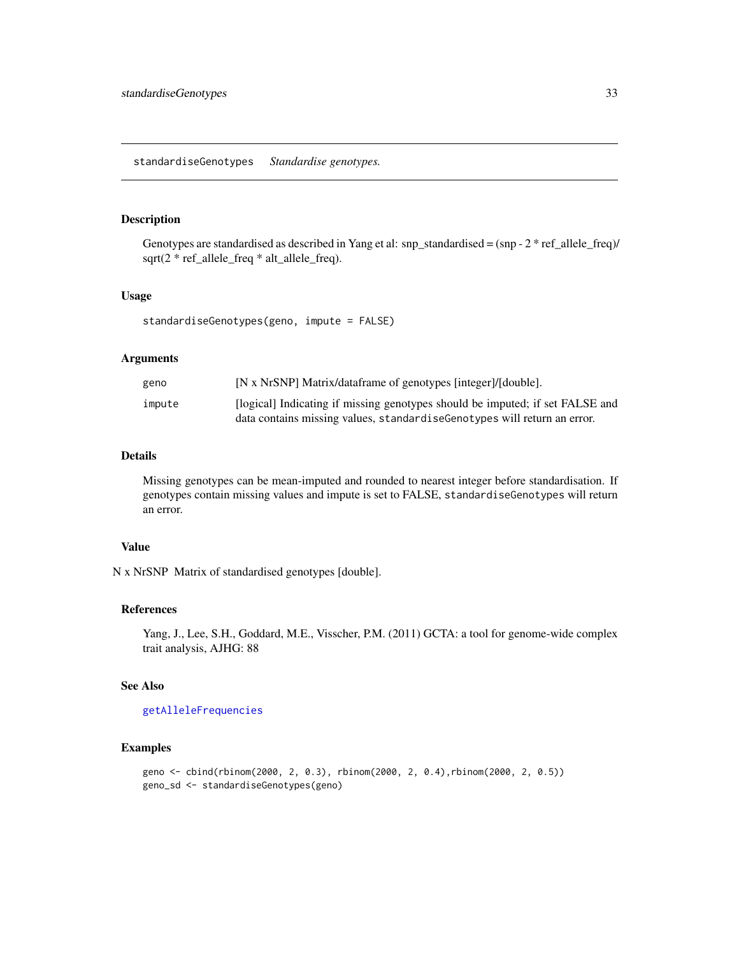# <span id="page-32-1"></span><span id="page-32-0"></span>Description

Genotypes are standardised as described in Yang et al: snp\_standardised =  $(snp - 2 * ref$ \_allele\_freq)/ sqrt(2 \* ref\_allele\_freq \* alt\_allele\_freq).

# Usage

standardiseGenotypes(geno, impute = FALSE)

# Arguments

| geno   | [N x NrSNP] Matrix/dataframe of genotypes [integer]/[double].                 |
|--------|-------------------------------------------------------------------------------|
| impute | [logical] Indicating if missing genotypes should be imputed; if set FALSE and |
|        | data contains missing values, standardise Genotypes will return an error.     |

#### Details

Missing genotypes can be mean-imputed and rounded to nearest integer before standardisation. If genotypes contain missing values and impute is set to FALSE, standardiseGenotypes will return an error.

# Value

N x NrSNP Matrix of standardised genotypes [double].

#### References

Yang, J., Lee, S.H., Goddard, M.E., Visscher, P.M. (2011) GCTA: a tool for genome-wide complex trait analysis, AJHG: 88

# See Also

[getAlleleFrequencies](#page-8-2)

# Examples

```
geno <- cbind(rbinom(2000, 2, 0.3), rbinom(2000, 2, 0.4),rbinom(2000, 2, 0.5))
geno_sd <- standardiseGenotypes(geno)
```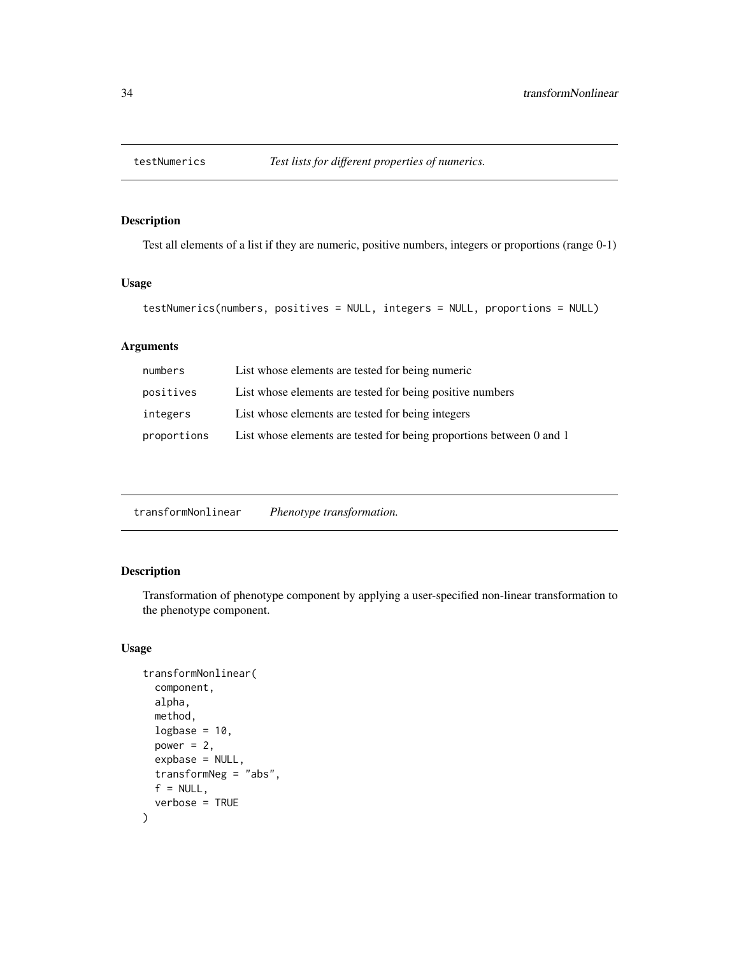<span id="page-33-0"></span>

# Description

Test all elements of a list if they are numeric, positive numbers, integers or proportions (range 0-1)

#### Usage

```
testNumerics(numbers, positives = NULL, integers = NULL, proportions = NULL)
```
# Arguments

| numbers     | List whose elements are tested for being numeric                     |
|-------------|----------------------------------------------------------------------|
| positives   | List whose elements are tested for being positive numbers            |
| integers    | List whose elements are tested for being integers                    |
| proportions | List whose elements are tested for being proportions between 0 and 1 |

transformNonlinear *Phenotype transformation.*

# Description

Transformation of phenotype component by applying a user-specified non-linear transformation to the phenotype component.

# Usage

```
transformNonlinear(
  component,
  alpha,
 method,
 logbase = 10,
 power = 2,
 expbase = NULL,
  transformNeg = "abs",
 f = NULL,verbose = TRUE
\mathcal{E}
```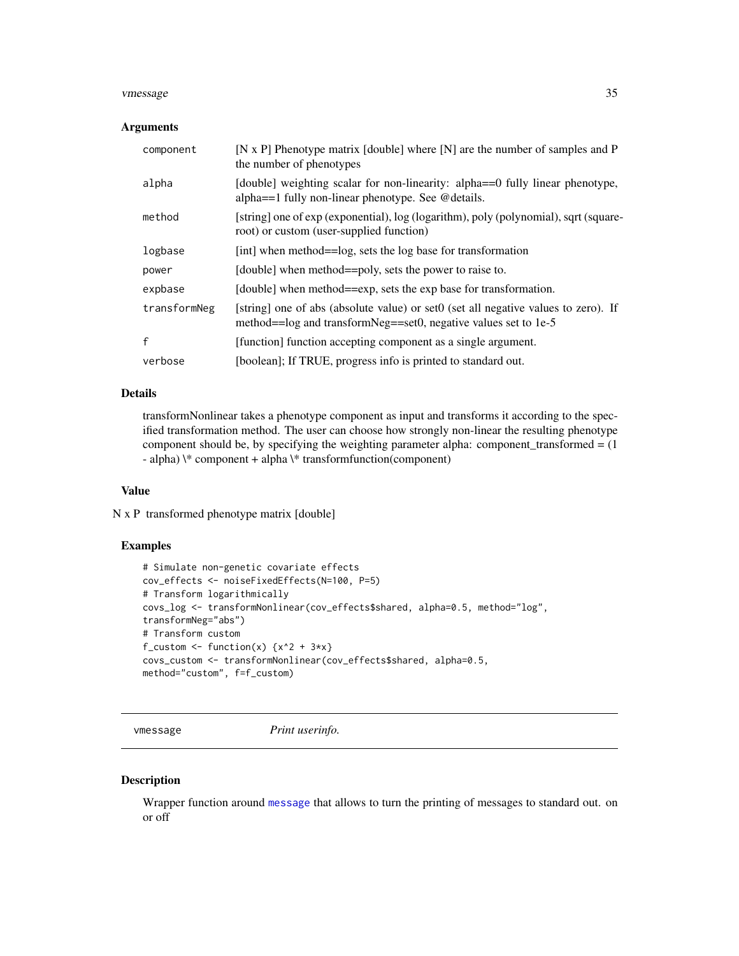#### <span id="page-34-0"></span>vmessage 35

#### **Arguments**

| component    | [N x P] Phenotype matrix [double] where $[N]$ are the number of samples and P<br>the number of phenotypes                                             |
|--------------|-------------------------------------------------------------------------------------------------------------------------------------------------------|
| alpha        | [double] weighting scalar for non-linearity: alpha==0 fully linear phenotype,<br>alpha= $=$ 1 fully non-linear phenotype. See @details.               |
| method       | [string] one of exp (exponential), log (logarithm), poly (polynomial), sqrt (square-<br>root) or custom (user-supplied function)                      |
| logbase      | [int] when method==log, sets the log base for transformation                                                                                          |
| power        | [double] when method==poly, sets the power to raise to.                                                                                               |
| expbase      | [double] when method==exp, sets the exp base for transformation.                                                                                      |
| transformNeg | [string] one of abs (absolute value) or set0 (set all negative values to zero). If<br>method==log and transformNeg==set0, negative values set to 1e-5 |
| f            | [function] function accepting component as a single argument.                                                                                         |
| verbose      | [boolean]; If TRUE, progress info is printed to standard out.                                                                                         |

# Details

transformNonlinear takes a phenotype component as input and transforms it according to the specified transformation method. The user can choose how strongly non-linear the resulting phenotype component should be, by specifying the weighting parameter alpha: component\_transformed = (1 - alpha)  $\ast$  component + alpha  $\ast$  transform function(component)

# Value

N x P transformed phenotype matrix [double]

# Examples

```
# Simulate non-genetic covariate effects
cov_effects <- noiseFixedEffects(N=100, P=5)
# Transform logarithmically
covs_log <- transformNonlinear(cov_effects$shared, alpha=0.5, method="log",
transformNeg="abs")
# Transform custom
f_custom \le function(x) \{x^2 + 3*x\}covs_custom <- transformNonlinear(cov_effects$shared, alpha=0.5,
method="custom", f=f_custom)
```
vmessage *Print userinfo.*

#### Description

Wrapper function around [message](#page-0-0) that allows to turn the printing of messages to standard out. on or off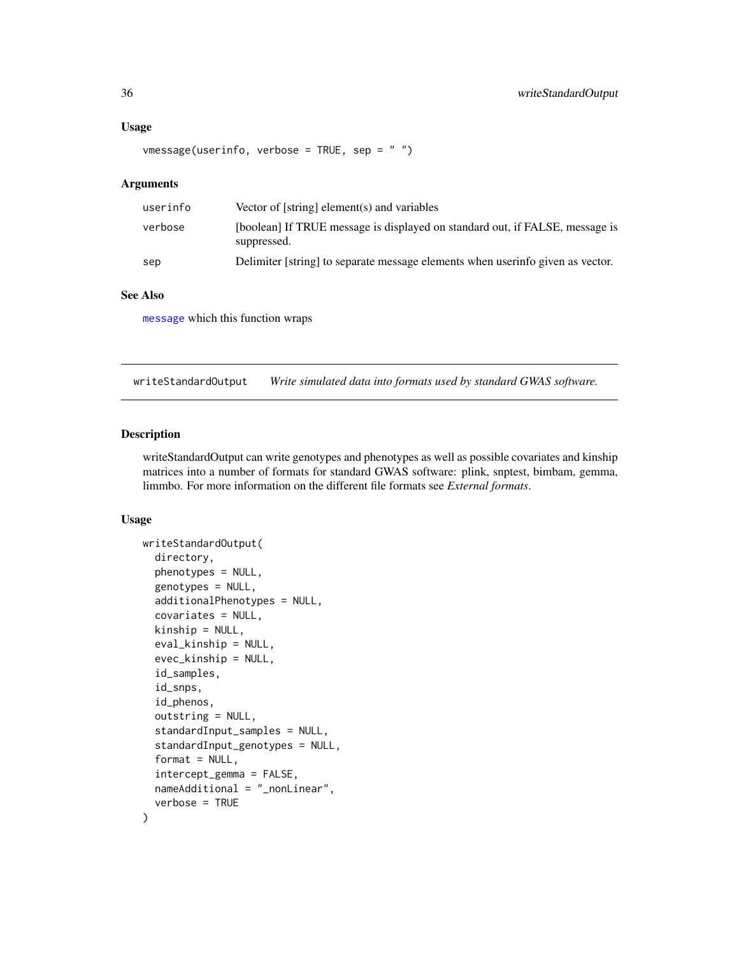#### <span id="page-35-0"></span>Usage

```
vmessage(userinfo, verbose = TRUE, sep = " ")
```
## **Arguments**

| userinfo | Vector of [string] element(s) and variables                                                 |
|----------|---------------------------------------------------------------------------------------------|
| verbose  | [boolean] If TRUE message is displayed on standard out, if FALSE, message is<br>suppressed. |
| sep      | Delimiter [string] to separate message elements when userinfo given as vector.              |

# See Also

[message](#page-0-0) which this function wraps

<span id="page-35-1"></span>writeStandardOutput *Write simulated data into formats used by standard GWAS software.*

# Description

writeStandardOutput can write genotypes and phenotypes as well as possible covariates and kinship matrices into a number of formats for standard GWAS software: plink, snptest, bimbam, gemma, limmbo. For more information on the different file formats see *External formats*.

# Usage

```
writeStandardOutput(
  directory,
  phenotypes = NULL,
  genotypes = NULL,
  additionalPhenotypes = NULL,
  covariates = NULL,
  kinship = NULL,
  eval_kinship = NULL,
  evec_kinship = NULL,
  id_samples,
  id_snps,
  id_phenos,
  outstring = NULL,
  standardInput_samples = NULL,
  standardInput_genotypes = NULL,
  format = NULL,intercept_gemma = FALSE,
  nameAdditional = "_nonLinear",
  verbose = TRUE
)
```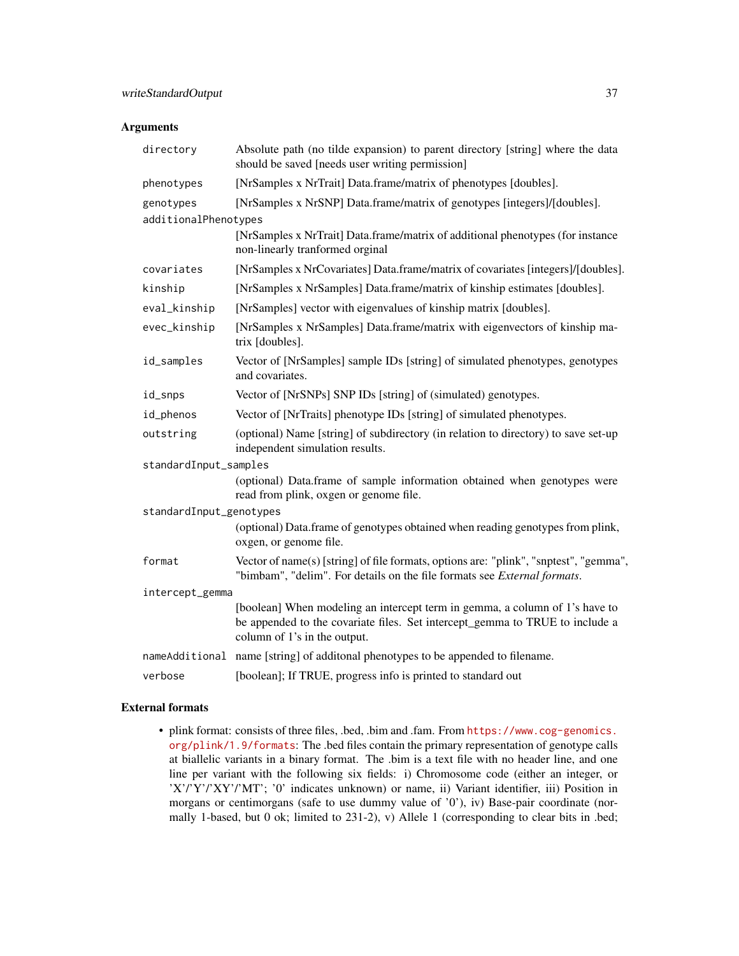# Arguments

| directory               | Absolute path (no tilde expansion) to parent directory [string] where the data<br>should be saved [needs user writing permission]                                                           |
|-------------------------|---------------------------------------------------------------------------------------------------------------------------------------------------------------------------------------------|
| phenotypes              | [NrSamples x NrTrait] Data.frame/matrix of phenotypes [doubles].                                                                                                                            |
| genotypes               | [NrSamples x NrSNP] Data.frame/matrix of genotypes [integers]/[doubles].                                                                                                                    |
| additionalPhenotypes    |                                                                                                                                                                                             |
|                         | [NrSamples x NrTrait] Data.frame/matrix of additional phenotypes (for instance<br>non-linearly tranformed orginal                                                                           |
| covariates              | [NrSamples x NrCovariates] Data.frame/matrix of covariates [integers]/[doubles].                                                                                                            |
| kinship                 | [NrSamples x NrSamples] Data.frame/matrix of kinship estimates [doubles].                                                                                                                   |
| eval_kinship            | [NrSamples] vector with eigenvalues of kinship matrix [doubles].                                                                                                                            |
| evec_kinship            | [NrSamples x NrSamples] Data.frame/matrix with eigenvectors of kinship ma-<br>trix [doubles].                                                                                               |
| id_samples              | Vector of [NrSamples] sample IDs [string] of simulated phenotypes, genotypes<br>and covariates.                                                                                             |
| id_snps                 | Vector of [NrSNPs] SNP IDs [string] of (simulated) genotypes.                                                                                                                               |
| id_phenos               | Vector of [NrTraits] phenotype IDs [string] of simulated phenotypes.                                                                                                                        |
| outstring               | (optional) Name [string] of subdirectory (in relation to directory) to save set-up<br>independent simulation results.                                                                       |
| standardInput_samples   |                                                                                                                                                                                             |
|                         | (optional) Data.frame of sample information obtained when genotypes were<br>read from plink, oxgen or genome file.                                                                          |
| standardInput_genotypes |                                                                                                                                                                                             |
|                         | (optional) Data.frame of genotypes obtained when reading genotypes from plink,<br>oxgen, or genome file.                                                                                    |
| format                  | Vector of name(s) [string] of file formats, options are: "plink", "snptest", "gemma",<br>"bimbam", "delim". For details on the file formats see External formats.                           |
| intercept_gemma         |                                                                                                                                                                                             |
|                         | [boolean] When modeling an intercept term in gemma, a column of 1's have to<br>be appended to the covariate files. Set intercept_gemma to TRUE to include a<br>column of 1's in the output. |
|                         | nameAdditional name [string] of additonal phenotypes to be appended to filename.                                                                                                            |
| verbose                 | [boolean]; If TRUE, progress info is printed to standard out                                                                                                                                |

#### External formats

• plink format: consists of three files, .bed, .bim and .fam. From [https://www.cog-genomics.](https://www.cog-genomics.org/plink/1.9/formats) [org/plink/1.9/formats](https://www.cog-genomics.org/plink/1.9/formats): The .bed files contain the primary representation of genotype calls at biallelic variants in a binary format. The .bim is a text file with no header line, and one line per variant with the following six fields: i) Chromosome code (either an integer, or 'X'/'Y'/'XY'/'MT'; '0' indicates unknown) or name, ii) Variant identifier, iii) Position in morgans or centimorgans (safe to use dummy value of '0'), iv) Base-pair coordinate (normally 1-based, but 0 ok; limited to 231-2), v) Allele 1 (corresponding to clear bits in .bed;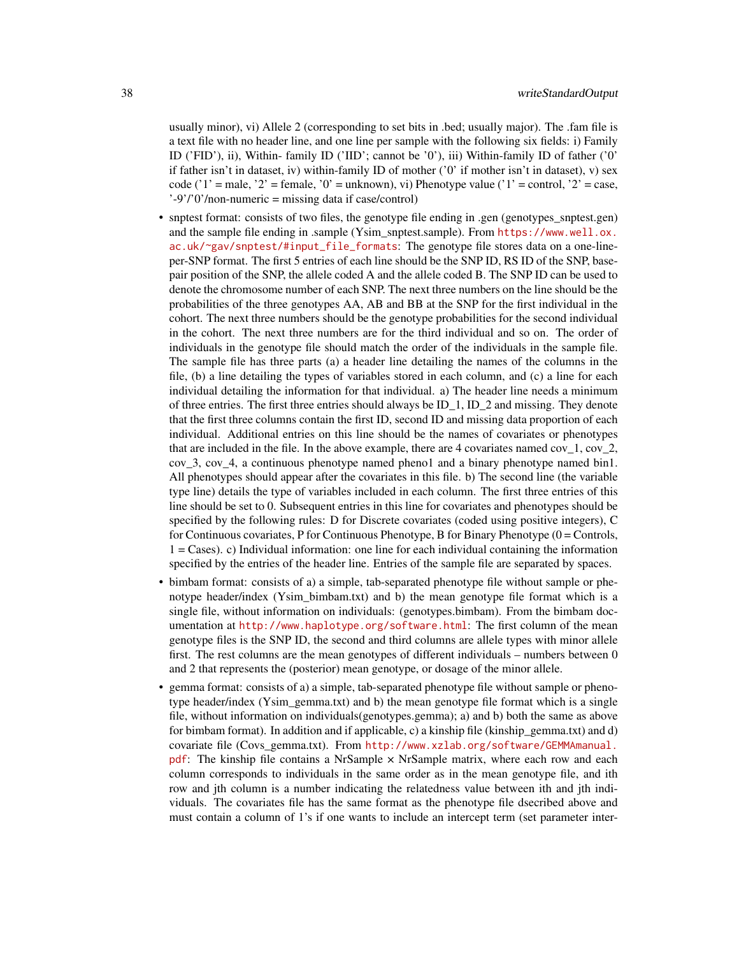usually minor), vi) Allele 2 (corresponding to set bits in .bed; usually major). The .fam file is a text file with no header line, and one line per sample with the following six fields: i) Family ID ('FID'), ii), Within- family ID ('IID'; cannot be '0'), iii) Within-family ID of father ('0' if father isn't in dataset, iv) within-family ID of mother ( $\degree$ 0' if mother isn't in dataset), v) sex code ('1' = male, '2' = female, '0' = unknown), vi) Phenotype value ('1' = control, '2' = case, '-9'/'0'/non-numeric = missing data if case/control)

- snptest format: consists of two files, the genotype file ending in .gen (genotypes\_snptest.gen) and the sample file ending in .sample (Ysim\_snptest.sample). From [https://www.well.ox.](https://www.well.ox.ac.uk/~gav/snptest/#input_file_formats) [ac.uk/~gav/snptest/#input\\_file\\_formats](https://www.well.ox.ac.uk/~gav/snptest/#input_file_formats): The genotype file stores data on a one-lineper-SNP format. The first 5 entries of each line should be the SNP ID, RS ID of the SNP, basepair position of the SNP, the allele coded A and the allele coded B. The SNP ID can be used to denote the chromosome number of each SNP. The next three numbers on the line should be the probabilities of the three genotypes AA, AB and BB at the SNP for the first individual in the cohort. The next three numbers should be the genotype probabilities for the second individual in the cohort. The next three numbers are for the third individual and so on. The order of individuals in the genotype file should match the order of the individuals in the sample file. The sample file has three parts (a) a header line detailing the names of the columns in the file, (b) a line detailing the types of variables stored in each column, and (c) a line for each individual detailing the information for that individual. a) The header line needs a minimum of three entries. The first three entries should always be ID\_1, ID\_2 and missing. They denote that the first three columns contain the first ID, second ID and missing data proportion of each individual. Additional entries on this line should be the names of covariates or phenotypes that are included in the file. In the above example, there are 4 covariates named  $cov_1$ ,  $cov_2$ , cov\_3, cov\_4, a continuous phenotype named pheno1 and a binary phenotype named bin1. All phenotypes should appear after the covariates in this file. b) The second line (the variable type line) details the type of variables included in each column. The first three entries of this line should be set to 0. Subsequent entries in this line for covariates and phenotypes should be specified by the following rules: D for Discrete covariates (coded using positive integers), C for Continuous covariates, P for Continuous Phenotype, B for Binary Phenotype  $(0 =$ Controls,  $1 = \text{Case}$ ). C) Individual information: one line for each individual containing the information specified by the entries of the header line. Entries of the sample file are separated by spaces.
- bimbam format: consists of a) a simple, tab-separated phenotype file without sample or phenotype header/index (Ysim\_bimbam.txt) and b) the mean genotype file format which is a single file, without information on individuals: (genotypes.bimbam). From the bimbam documentation at <http://www.haplotype.org/software.html>: The first column of the mean genotype files is the SNP ID, the second and third columns are allele types with minor allele first. The rest columns are the mean genotypes of different individuals – numbers between 0 and 2 that represents the (posterior) mean genotype, or dosage of the minor allele.
- gemma format: consists of a) a simple, tab-separated phenotype file without sample or phenotype header/index (Ysim\_gemma.txt) and b) the mean genotype file format which is a single file, without information on individuals(genotypes.gemma); a) and b) both the same as above for bimbam format). In addition and if applicable, c) a kinship file (kinship\_gemma.txt) and d) covariate file (Covs\_gemma.txt). From [http://www.xzlab.org/software/GEMMAmanual.](http://www.xzlab.org/software/GEMMAmanual.pdf) [pdf](http://www.xzlab.org/software/GEMMAmanual.pdf): The kinship file contains a NrSample  $\times$  NrSample matrix, where each row and each column corresponds to individuals in the same order as in the mean genotype file, and ith row and jth column is a number indicating the relatedness value between ith and jth individuals. The covariates file has the same format as the phenotype file dsecribed above and must contain a column of 1's if one wants to include an intercept term (set parameter inter-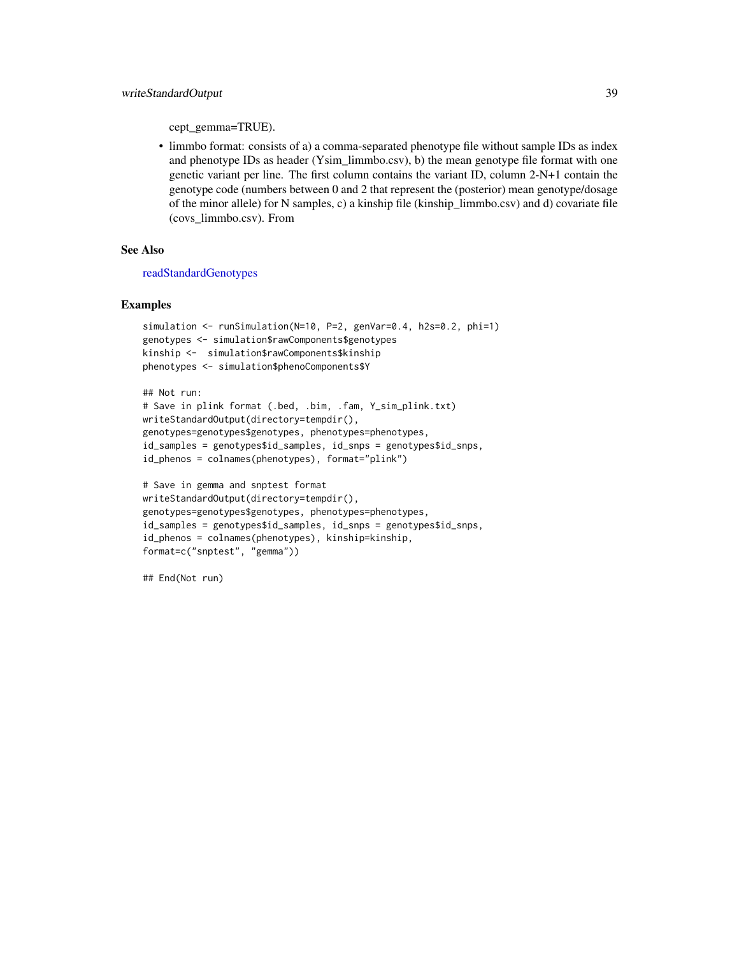<span id="page-38-0"></span>cept\_gemma=TRUE).

• limmbo format: consists of a) a comma-separated phenotype file without sample IDs as index and phenotype IDs as header (Ysim\_limmbo.csv), b) the mean genotype file format with one genetic variant per line. The first column contains the variant ID, column 2-N+1 contain the genotype code (numbers between 0 and 2 that represent the (posterior) mean genotype/dosage of the minor allele) for N samples, c) a kinship file (kinship\_limmbo.csv) and d) covariate file (covs\_limmbo.csv). From

#### See Also

[readStandardGenotypes](#page-16-1)

#### Examples

```
simulation <- runSimulation(N=10, P=2, genVar=0.4, h2s=0.2, phi=1)
genotypes <- simulation$rawComponents$genotypes
kinship <- simulation$rawComponents$kinship
phenotypes <- simulation$phenoComponents$Y
```

```
## Not run:
```

```
# Save in plink format (.bed, .bim, .fam, Y_sim_plink.txt)
writeStandardOutput(directory=tempdir(),
genotypes=genotypes$genotypes, phenotypes=phenotypes,
id_samples = genotypes$id_samples, id_snps = genotypes$id_snps,
id_phenos = colnames(phenotypes), format="plink")
```

```
# Save in gemma and snptest format
writeStandardOutput(directory=tempdir(),
genotypes=genotypes$genotypes, phenotypes=phenotypes,
id_samples = genotypes$id_samples, id_snps = genotypes$id_snps,
id_phenos = colnames(phenotypes), kinship=kinship,
format=c("snptest", "gemma"))
```
## End(Not run)